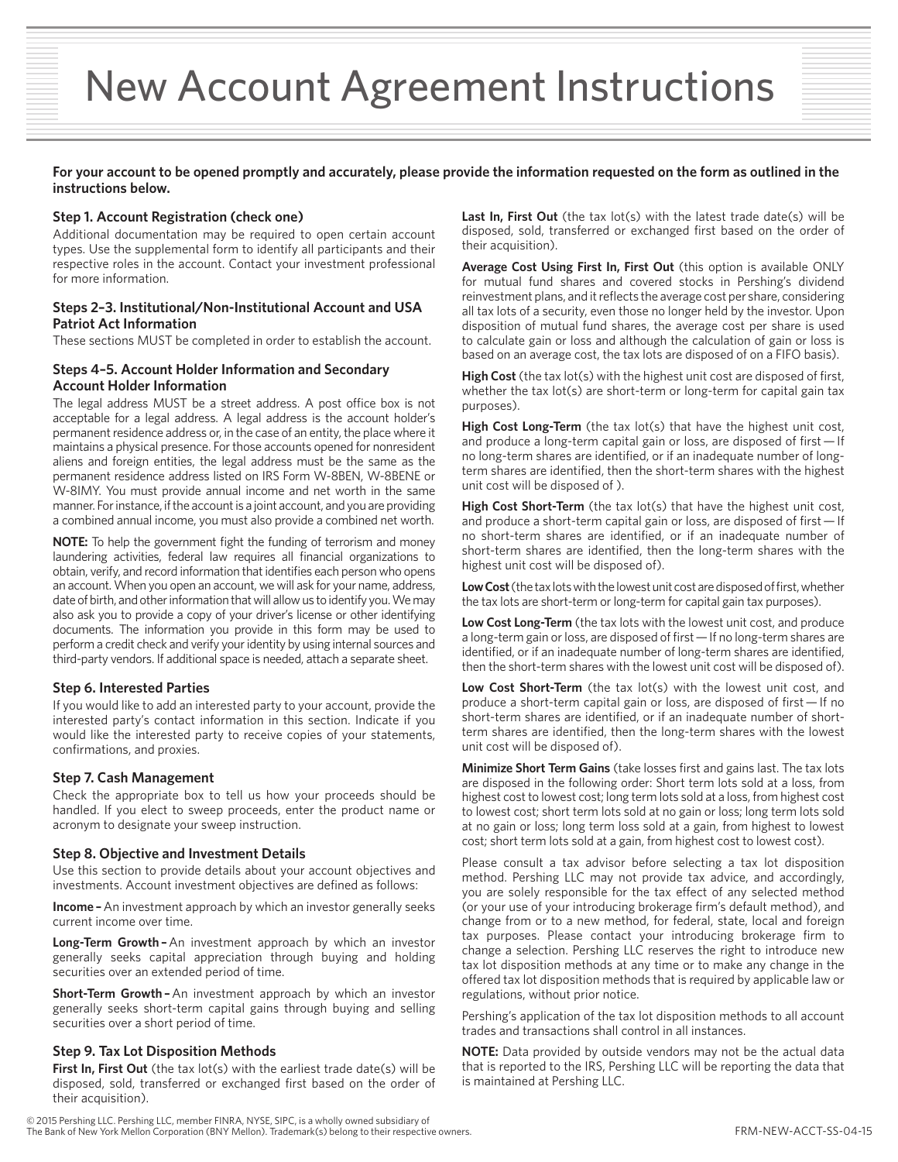# New Account Agreement Instructions

#### **For your account to be opened promptly and accurately, please provide the information requested on the form as outlined in the instructions below.**

#### **Step 1. Account Registration (check one)**

Additional documentation may be required to open certain account types. Use the supplemental form to identify all participants and their respective roles in the account. Contact your investment professional for more information.

#### **Steps 2–3. Institutional/Non-Institutional Account and USA Patriot Act Information**

These sections MUST be completed in order to establish the account.

#### **Steps 4–5. Account Holder Information and Secondary Account Holder Information**

The legal address MUST be a street address. A post office box is not acceptable for a legal address. A legal address is the account holder's permanent residence address or, in the case of an entity, the place where it maintains a physical presence. For those accounts opened for nonresident aliens and foreign entities, the legal address must be the same as the permanent residence address listed on IRS Form W-8BEN, W-8BENE or W-8IMY. You must provide annual income and net worth in the same manner. For instance, if the account is a joint account, and you are providing a combined annual income, you must also provide a combined net worth.

**NOTE:** To help the government fight the funding of terrorism and money laundering activities, federal law requires all financial organizations to obtain, verify, and record information that identifies each person who opens an account. When you open an account, we will ask for your name, address, date of birth, and other information that will allow us to identify you. We may also ask you to provide a copy of your driver's license or other identifying documents. The information you provide in this form may be used to perform a credit check and verify your identity by using internal sources and third-party vendors. If additional space is needed, attach a separate sheet.

#### **Step 6. Interested Parties**

If you would like to add an interested party to your account, provide the interested party's contact information in this section. Indicate if you would like the interested party to receive copies of your statements, confirmations, and proxies.

#### **Step 7. Cash Management**

Check the appropriate box to tell us how your proceeds should be handled. If you elect to sweep proceeds, enter the product name or acronym to designate your sweep instruction.

#### **Step 8. Objective and Investment Details**

Use this section to provide details about your account objectives and investments. Account investment objectives are defined as follows:

**Income** – An investment approach by which an investor generally seeks current income over time.

**Long-Term Growth –**An investment approach by which an investor generally seeks capital appreciation through buying and holding securities over an extended period of time.

**Short-Term Growth –**An investment approach by which an investor generally seeks short-term capital gains through buying and selling securities over a short period of time.

#### **Step 9. Tax Lot Disposition Methods**

**First In, First Out** (the tax lot(s) with the earliest trade date(s) will be disposed, sold, transferred or exchanged first based on the order of their acquisition).

Last In, First Out (the tax lot(s) with the latest trade date(s) will be disposed, sold, transferred or exchanged first based on the order of their acquisition).

**Average Cost Using First In, First Out** (this option is available ONLY for mutual fund shares and covered stocks in Pershing's dividend reinvestment plans, and it reflects the average cost per share, considering all tax lots of a security, even those no longer held by the investor. Upon disposition of mutual fund shares, the average cost per share is used to calculate gain or loss and although the calculation of gain or loss is based on an average cost, the tax lots are disposed of on a FIFO basis).

**High Cost** (the tax lot(s) with the highest unit cost are disposed of first, whether the tax lot(s) are short-term or long-term for capital gain tax purposes).

High Cost Long-Term (the tax lot(s) that have the highest unit cost, and produce a long-term capital gain or loss, are disposed of first — If no long-term shares are identified, or if an inadequate number of longterm shares are identified, then the short-term shares with the highest unit cost will be disposed of ).

**High Cost Short-Term** (the tax lot(s) that have the highest unit cost, and produce a short-term capital gain or loss, are disposed of first — If no short-term shares are identified, or if an inadequate number of short-term shares are identified, then the long-term shares with the highest unit cost will be disposed of).

**Low Cost** (the tax lots with the lowest unit cost are disposed of first, whether the tax lots are short-term or long-term for capital gain tax purposes).

**Low Cost Long-Term** (the tax lots with the lowest unit cost, and produce a long-term gain or loss, are disposed of first — If no long-term shares are identified, or if an inadequate number of long-term shares are identified, then the short-term shares with the lowest unit cost will be disposed of).

Low Cost Short-Term (the tax lot(s) with the lowest unit cost, and produce a short-term capital gain or loss, are disposed of first — If no short-term shares are identified, or if an inadequate number of shortterm shares are identified, then the long-term shares with the lowest unit cost will be disposed of).

**Minimize Short Term Gains** (take losses first and gains last. The tax lots are disposed in the following order: Short term lots sold at a loss, from highest cost to lowest cost; long term lots sold at a loss, from highest cost to lowest cost; short term lots sold at no gain or loss; long term lots sold at no gain or loss; long term loss sold at a gain, from highest to lowest cost; short term lots sold at a gain, from highest cost to lowest cost).

Please consult a tax advisor before selecting a tax lot disposition method. Pershing LLC may not provide tax advice, and accordingly, you are solely responsible for the tax effect of any selected method (or your use of your introducing brokerage firm's default method), and change from or to a new method, for federal, state, local and foreign tax purposes. Please contact your introducing brokerage firm to change a selection. Pershing LLC reserves the right to introduce new tax lot disposition methods at any time or to make any change in the offered tax lot disposition methods that is required by applicable law or regulations, without prior notice.

Pershing's application of the tax lot disposition methods to all account trades and transactions shall control in all instances.

**NOTE:** Data provided by outside vendors may not be the actual data that is reported to the IRS, Pershing LLC will be reporting the data that is maintained at Pershing LLC.

© 2015 Pershing LLC. Pershing LLC, member FINRA, NYSE, SIPC, is a wholly owned subsidiary of The Bank of New York Mellon Corporation (BNY Mellon). Trademark(s) belong to their respective owners. FRM-NEW-ACCT-SS-04-15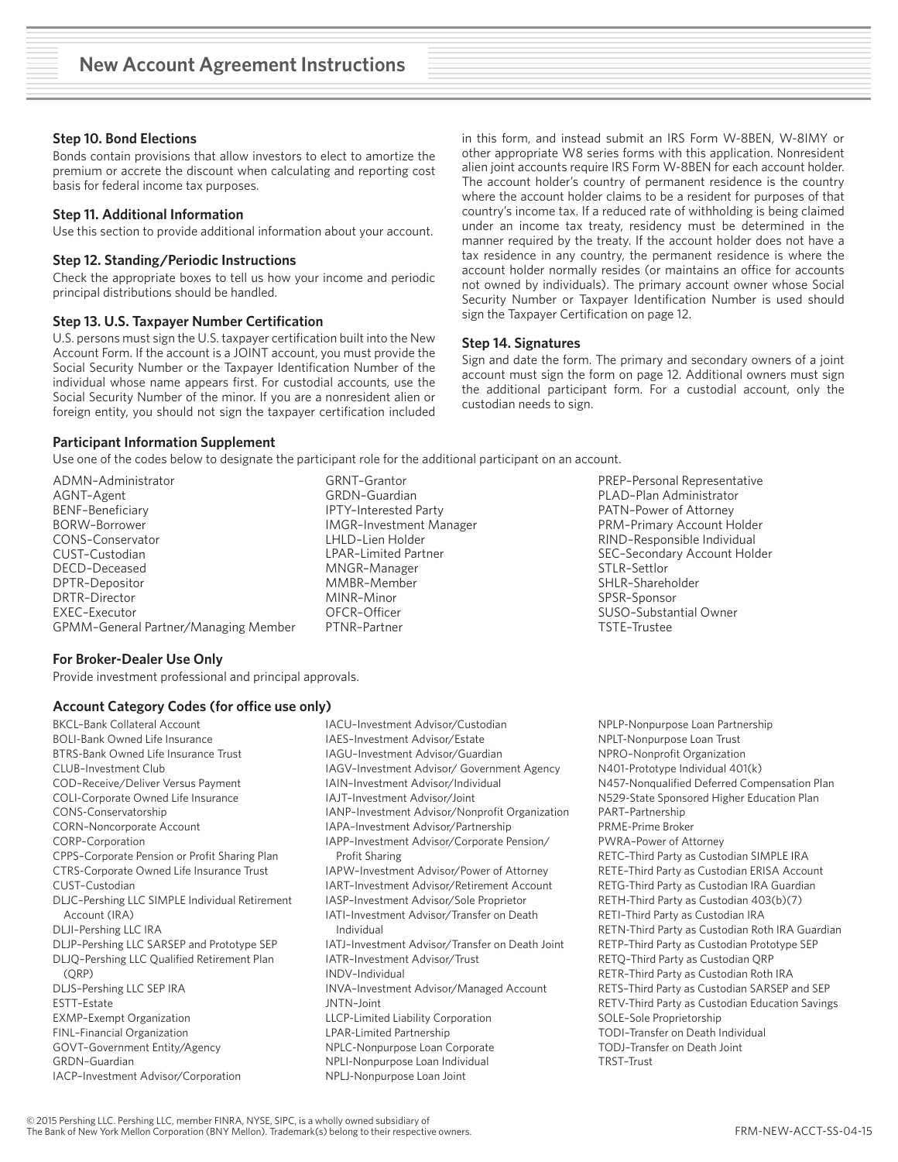#### **Step 10. Bond Elections**

Bonds contain provisions that allow investors to elect to amortize the premium or accrete the discount when calculating and reporting cost basis for federal income tax purposes.

#### **Step 11. Additional Information**

Use this section to provide additional information about your account.

#### **Step 12. Standing/Periodic Instructions**

Check the appropriate boxes to tell us how your income and periodic principal distributions should be handled.

#### **Step 13. U.S. Taxpayer Number Certification**

U.S. persons must sign the U.S. taxpayer certification built into the New Account Form. If the account is a JOINT account, you must provide the Social Security Number or the Taxpayer Identification Number of the individual whose name appears first. For custodial accounts, use the Social Security Number of the minor. If you are a nonresident alien or foreign entity, you should not sign the taxpayer certification included

in this form, and instead submit an IRS Form W-8BEN, W-8IMY or other appropriate W8 series forms with this application. Nonresident alien joint accounts require IRS Form W-8BEN for each account holder. The account holder's country of permanent residence is the country where the account holder claims to be a resident for purposes of that country's income tax. If a reduced rate of withholding is being claimed under an income tax treaty, residency must be determined in the manner required by the treaty. If the account holder does not have a tax residence in any country, the permanent residence is where the account holder normally resides (or maintains an office for accounts not owned by individuals). The primary account owner whose Social Security Number or Taxpayer Identification Number is used should sign the Taxpayer Certification on page 12.

#### **Step 14. Signatures**

Sign and date the form. The primary and secondary owners of a joint account must sign the form on page 12. Additional owners must sign the additional participant form. For a custodial account, only the custodian needs to sign.

#### **Participant Information Supplement**

Use one of the codes below to designate the participant role for the additional participant on an account.

ADMN–Administrator AGNT–Agent BENF–Beneficiary BORW–Borrower CONS–Conservator CUST–Custodian DECD–Deceased DPTR–Depositor DRTR–Director EXEC–Executor GPMM–General Partner/Managing Member

GRNT–Grantor GRDN–Guardian IPTY–Interested Party IMGR–Investment Manager LHLD–Lien Holder LPAR–Limited Partner MNGR–Manager MMBR–Member MINR–Minor OFCR–Officer PTNR–Partner

PREP–Personal Representative PLAD–Plan Administrator PATN–Power of Attorney PRM–Primary Account Holder RIND–Responsible Individual SEC–Secondary Account Holder STLR–Settlor SHLR–Shareholder SPSR–Sponsor SUSO–Substantial Owner TSTE–Trustee

#### **For Broker-Dealer Use Only**

Provide investment professional and principal approvals.

#### **Account Category Codes (for office use only)**

BKCL–Bank Collateral Account BOLI-Bank Owned Life Insurance BTRS-Bank Owned Life Insurance Trust CLUB–Investment Club COD–Receive/Deliver Versus Payment COLI-Corporate Owned Life Insurance CONS-Conservatorship CORN–Noncorporate Account CORP–Corporation CPPS–Corporate Pension or Profit Sharing Plan CTRS-Corporate Owned Life Insurance Trust CUST–Custodian DLJC–Pershing LLC SIMPLE Individual Retirement Account (IRA) DLJI–Pershing LLC IRA DLJP–Pershing LLC SARSEP and Prototype SEP DLJQ–Pershing LLC Qualified Retirement Plan (QRP) DLJS–Pershing LLC SEP IRA ESTT–Estate EXMP–Exempt Organization FINL–Financial Organization GOVT–Government Entity/Agency GRDN–Guardian IACP–Investment Advisor/Corporation

IACU–Investment Advisor/Custodian IAES–Investment Advisor/Estate IAGU–Investment Advisor/Guardian IAGV–Investment Advisor/ Government Agency IAIN–Investment Advisor/Individual IAJT–Investment Advisor/Joint IANP–Investment Advisor/Nonprofit Organization IAPA–Investment Advisor/Partnership IAPP–Investment Advisor/Corporate Pension/ Profit Sharing IAPW–Investment Advisor/Power of Attorney IART–Investment Advisor/Retirement Account IASP–Investment Advisor/Sole Proprietor IATI–Investment Advisor/Transfer on Death Individual IATJ–Investment Advisor/Transfer on Death Joint IATR–Investment Advisor/Trust INDV–Individual INVA–Investment Advisor/Managed Account JNTN–Joint LLCP-Limited Liability Corporation LPAR-Limited Partnership NPLC-Nonpurpose Loan Corporate NPLI-Nonpurpose Loan Individual NPLJ-Nonpurpose Loan Joint

NPLP-Nonpurpose Loan Partnership NPLT-Nonpurpose Loan Trust NPRO–Nonprofit Organization N401-Prototype Individual 401(k) N457-Nonqualified Deferred Compensation Plan N529-State Sponsored Higher Education Plan PART–Partnership PRME-Prime Broker PWRA–Power of Attorney RETC–Third Party as Custodian SIMPLE IRA RETE–Third Party as Custodian ERISA Account RETG-Third Party as Custodian IRA Guardian RETH-Third Party as Custodian 403(b)(7) RETI–Third Party as Custodian IRA RETN-Third Party as Custodian Roth IRA Guardian RETP–Third Party as Custodian Prototype SEP RETQ–Third Party as Custodian QRP RETR–Third Party as Custodian Roth IRA RETS–Third Party as Custodian SARSEP and SEP RETV-Third Party as Custodian Education Savings SOLE–Sole Proprietorship TODI–Transfer on Death Individual TODJ–Transfer on Death Joint TRST–Trust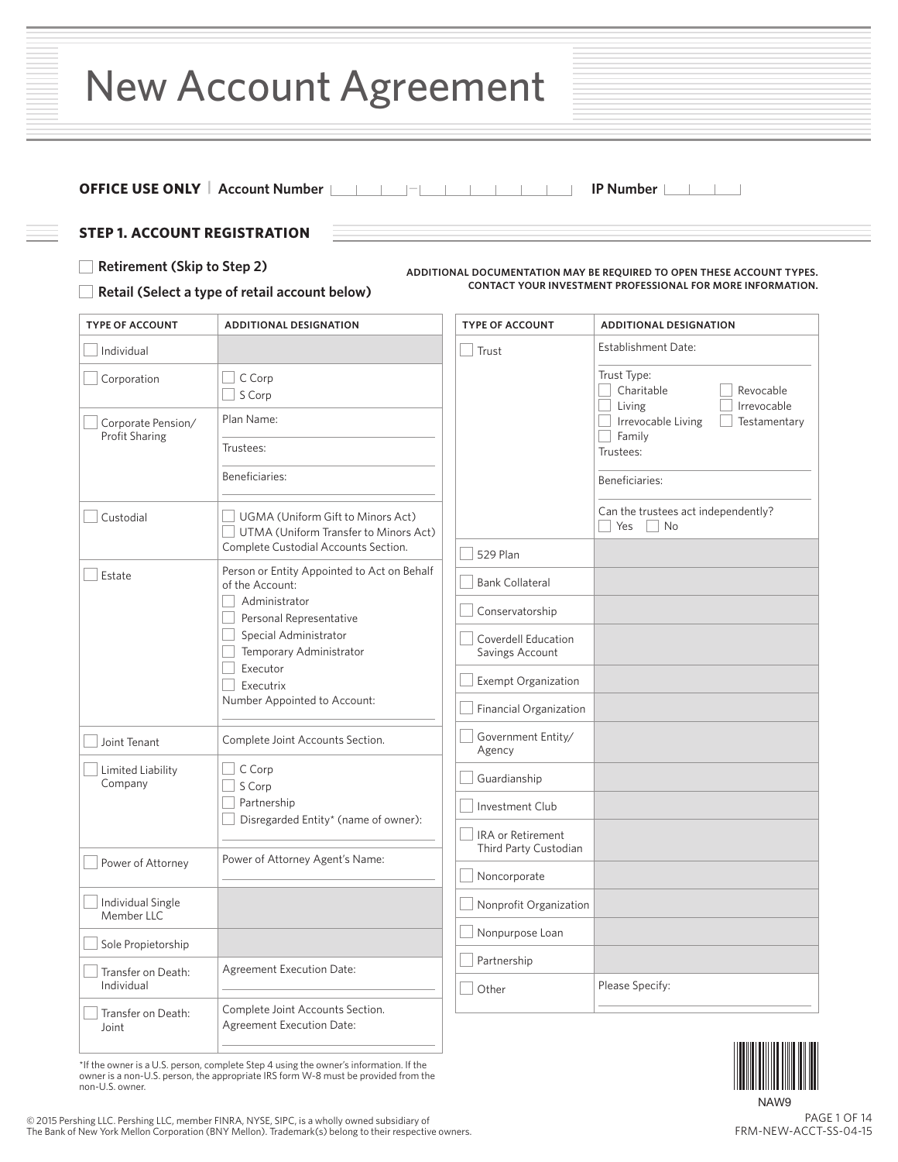|  | <b>New Account Agreement</b> |  |  |
|--|------------------------------|--|--|
|--|------------------------------|--|--|

# **OFFICE USE ONLY  |  Account Number** — **IP Number**

#### **STEP 1. ACCOUNT REGISTRATION**

#### **Retirement (Skip to Step 2)**

**ADDITIONAL DOCUMENTATION MAY BE REQUIRED TO OPEN THESE ACCOUNT TYPES. CONTACT YOUR INVESTMENT PROFESSIONAL FOR MORE INFORMATION.**

# **Retail (Select a type of retail account below)**

| <b>TYPE OF ACCOUNT</b>               | <b>ADDITIONAL DESIGNATION</b>                                              | <b>TYPE OF ACCOUNT</b>                     | <b>ADDITIONAL DESIGNATION</b>                                    |
|--------------------------------------|----------------------------------------------------------------------------|--------------------------------------------|------------------------------------------------------------------|
| Individual                           |                                                                            | Trust                                      | <b>Establishment Date:</b>                                       |
| Corporation                          | C Corp<br>$\sim$<br>S Corp                                                 |                                            | Trust Type:<br>Charitable<br>Revocable<br>Irrevocable<br>Living  |
| Corporate Pension/<br>Profit Sharing | Plan Name:                                                                 |                                            | Irrevocable Living<br>Testamentary<br>Family                     |
|                                      | Trustees:                                                                  |                                            | Trustees:                                                        |
|                                      | Beneficiaries:                                                             |                                            | Beneficiaries:                                                   |
| Custodial                            | UGMA (Uniform Gift to Minors Act)<br>UTMA (Uniform Transfer to Minors Act) |                                            | Can the trustees act independently?<br>Yes<br>$\vert$ $\vert$ No |
|                                      | Complete Custodial Accounts Section.                                       | 529 Plan                                   |                                                                  |
| Estate                               | Person or Entity Appointed to Act on Behalf<br>of the Account:             | <b>Bank Collateral</b>                     |                                                                  |
|                                      | Administrator<br>Personal Representative                                   | Conservatorship                            |                                                                  |
|                                      | Special Administrator<br>Temporary Administrator                           | Coverdell Education<br>Savings Account     |                                                                  |
|                                      | Executor<br>Executrix                                                      | <b>Exempt Organization</b>                 |                                                                  |
|                                      | Number Appointed to Account:                                               | Financial Organization                     |                                                                  |
| Joint Tenant                         | Complete Joint Accounts Section.                                           | Government Entity/<br>Agency               |                                                                  |
| Limited Liability<br>Company         | $\Box$ C Corp<br>S Corp                                                    | Guardianship                               |                                                                  |
|                                      | Partnership<br>Disregarded Entity* (name of owner):                        | Investment Club                            |                                                                  |
|                                      | Power of Attorney Agent's Name:                                            | IRA or Retirement<br>Third Party Custodian |                                                                  |
| Power of Attorney                    |                                                                            | Noncorporate                               |                                                                  |
| Individual Single<br>Member LLC      |                                                                            | Nonprofit Organization                     |                                                                  |
| Sole Propietorship                   |                                                                            | Nonpurpose Loan                            |                                                                  |
| Transfer on Death:<br>Individual     | <b>Agreement Execution Date:</b>                                           | Partnership<br>Other                       | Please Specify:                                                  |
| Transfer on Death:<br>Joint          | Complete Joint Accounts Section.<br><b>Agreement Execution Date:</b>       |                                            |                                                                  |

\*If the owner is a U.S. person, complete Step 4 using the owner's information. If the owner is a non-U.S. person, the appropriate IRS form W-8 must be provided from the non-U.S. owner.



NAW9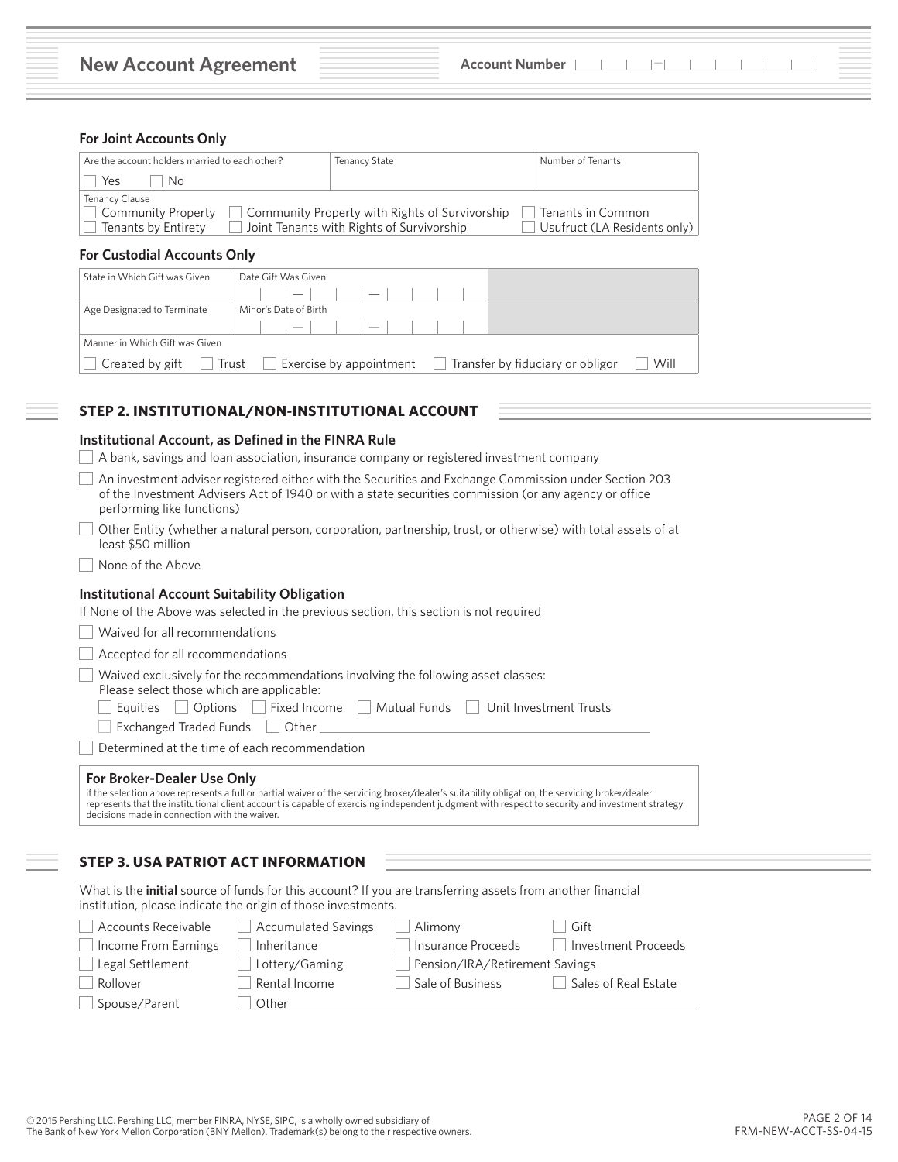#### **For Joint Accounts Only**

| Are the account holders married to each other? | Tenancy State                                  | Number of Tenants            |
|------------------------------------------------|------------------------------------------------|------------------------------|
| Yes<br>No.                                     |                                                |                              |
| Tenancy Clause                                 |                                                |                              |
| Community Property                             | Community Property with Rights of Survivorship | Tenants in Common            |
| Tenants by Entirety                            | Joint Tenants with Rights of Survivorship      | Usufruct (LA Residents only) |

# **For Custodial Accounts Only**

| State in Which Gift was Given  | Date Gift Was Given                                                 |                                                                                |
|--------------------------------|---------------------------------------------------------------------|--------------------------------------------------------------------------------|
|                                | $\overline{\phantom{0}}$                                            |                                                                                |
| Age Designated to Terminate    | Minor's Date of Birth                                               |                                                                                |
|                                | $\overline{\phantom{0}}$<br>$\mathcal{L} = \mathcal{L} \mathcal{L}$ |                                                                                |
| Manner in Which Gift was Given |                                                                     |                                                                                |
| Created by gift                | ∣ ∣ Trust                                                           | Will<br>$\Box$ Exercise by appointment $\Box$ Transfer by fiduciary or obligor |

# **STEP 2. INSTITUTIONAL/NON-INSTITUTIONAL ACCOUNT**

#### **Institutional Account, as Defined in the FINRA Rule**

| A bank, savings and loan association, insurance company or registered investment company                                                                                                                                                                                                                                                                                          |
|-----------------------------------------------------------------------------------------------------------------------------------------------------------------------------------------------------------------------------------------------------------------------------------------------------------------------------------------------------------------------------------|
| An investment adviser registered either with the Securities and Exchange Commission under Section 203<br>of the Investment Advisers Act of 1940 or with a state securities commission (or any agency or office<br>performing like functions)                                                                                                                                      |
| Other Entity (whether a natural person, corporation, partnership, trust, or otherwise) with total assets of at<br>least \$50 million                                                                                                                                                                                                                                              |
| None of the Above                                                                                                                                                                                                                                                                                                                                                                 |
| Institutional Account Suitability Obligation<br>If None of the Above was selected in the previous section, this section is not required                                                                                                                                                                                                                                           |
| Waived for all recommendations                                                                                                                                                                                                                                                                                                                                                    |
| Accepted for all recommendations                                                                                                                                                                                                                                                                                                                                                  |
| Waived exclusively for the recommendations involving the following asset classes:<br>Please select those which are applicable:<br>Options<br>Fixed Income     Mutual Funds<br>Unit Investment Trusts<br>Equities<br>Exchanged Traded Funds    <br>Other                                                                                                                           |
| Determined at the time of each recommendation                                                                                                                                                                                                                                                                                                                                     |
| For Broker-Dealer Use Only<br>if the selection above represents a full or partial waiver of the servicing broker/dealer's suitability obligation, the servicing broker/dealer<br>represents that the institutional client account is capable of exercising independent judgment with respect to security and investment strategy<br>decisions made in connection with the waiver. |

# **STEP 3. USA PATRIOT ACT INFORMATION**

| What is the <b>initial</b> source of funds for this account? If you are transferring assets from another financial |  |
|--------------------------------------------------------------------------------------------------------------------|--|
| institution, please indicate the origin of those investments.                                                      |  |

| Accounts Receivable         | Accumulated Savings | Alimony                        | Gift                 |
|-----------------------------|---------------------|--------------------------------|----------------------|
| $\Box$ Income From Earnings | Inheritance         | Insurance Proceeds             | Investment Proceeds  |
| Legal Settlement            | Lottery/Gaming      | Pension/IRA/Retirement Savings |                      |
| Rollover                    | Rental Income       | Sale of Business               | Sales of Real Estate |
| Spouse/Parent               | Other               |                                |                      |
|                             |                     |                                |                      |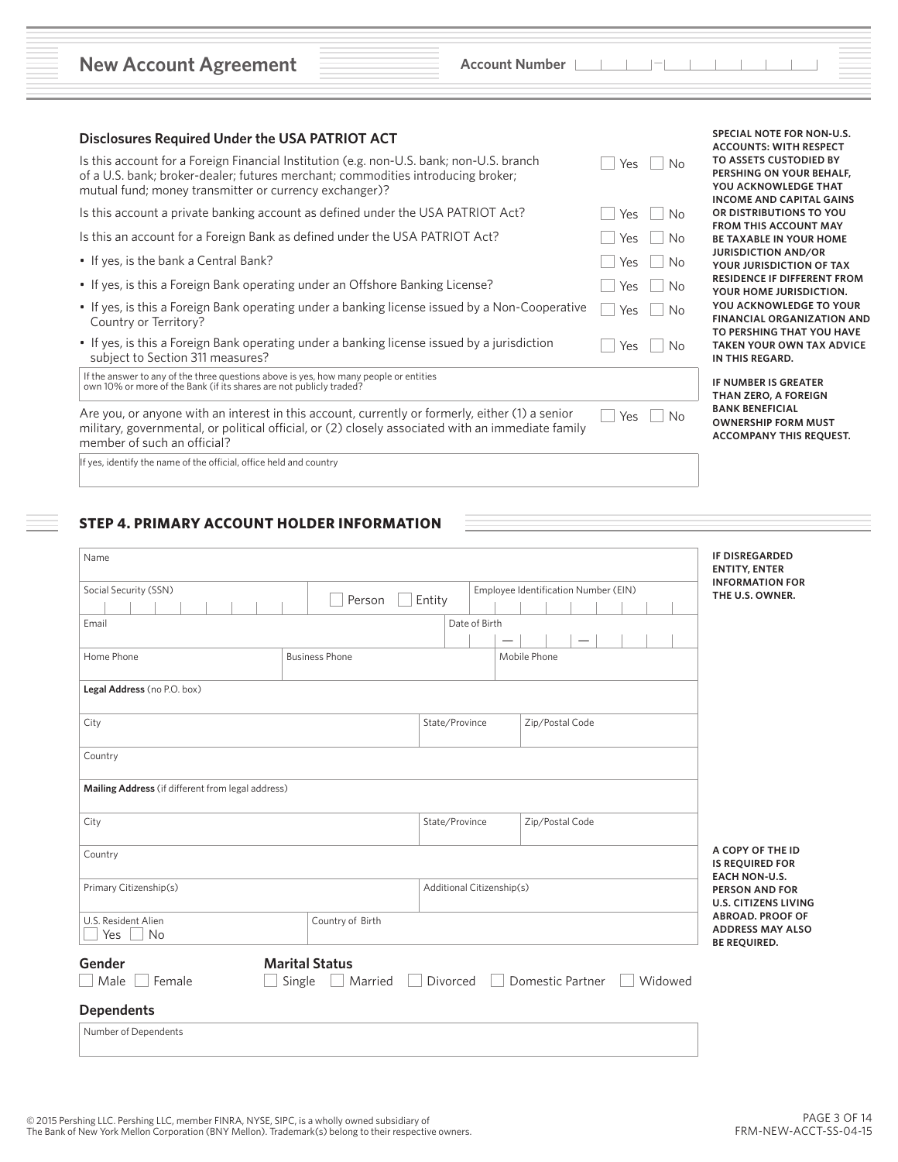| <b>New Account Agreement</b> |  |
|------------------------------|--|
|------------------------------|--|

| Account Number |  |  |  |  |  |  |
|----------------|--|--|--|--|--|--|
|                |  |  |  |  |  |  |

| <b>Disclosures Required Under the USA PATRIOT ACT</b><br>Is this account for a Foreign Financial Institution (e.g. non-U.S. bank; non-U.S. branch<br>of a U.S. bank; broker-dealer; futures merchant; commodities introducing broker; |                         |                                      | No<br>Yes        | <b>ACCOUNTS: WITH RESPECT</b><br>TO ASSETS CUSTODIED BY<br>PERSHING ON YOUR BEHALF,       |
|---------------------------------------------------------------------------------------------------------------------------------------------------------------------------------------------------------------------------------------|-------------------------|--------------------------------------|------------------|-------------------------------------------------------------------------------------------|
| mutual fund; money transmitter or currency exchanger)?                                                                                                                                                                                |                         |                                      |                  | YOU ACKNOWLEDGE THAT<br><b>INCOME AND CAPITAL GAINS</b>                                   |
| Is this account a private banking account as defined under the USA PATRIOT Act?                                                                                                                                                       | <b>No</b><br><b>Yes</b> | OR DISTRIBUTIONS TO YOU              |                  |                                                                                           |
| Is this an account for a Foreign Bank as defined under the USA PATRIOT Act?                                                                                                                                                           |                         |                                      | No<br>Yes        | <b>FROM THIS ACCOUNT MAY</b><br><b>BE TAXABLE IN YOUR HOME</b>                            |
| • If yes, is the bank a Central Bank?                                                                                                                                                                                                 |                         |                                      | No<br>Yes        | <b>JURISDICTION AND/OR</b><br>YOUR JURISDICTION OF TAX                                    |
| • If yes, is this a Foreign Bank operating under an Offshore Banking License?                                                                                                                                                         |                         |                                      | No<br>Yes        | <b>RESIDENCE IF DIFFERENT FROM</b><br>YOUR HOME JURISDICTION.                             |
| • If yes, is this a Foreign Bank operating under a banking license issued by a Non-Cooperative<br>Country or Territory?                                                                                                               |                         |                                      | No<br><b>Yes</b> | YOU ACKNOWLEDGE TO YOUR<br><b>FINANCIAL ORGANIZATION AND</b><br>TO PERSHING THAT YOU HAVE |
| • If yes, is this a Foreign Bank operating under a banking license issued by a jurisdiction<br>subject to Section 311 measures?                                                                                                       |                         |                                      | Yes<br>No.       | <b>TAKEN YOUR OWN TAX ADVICE</b><br>IN THIS REGARD.                                       |
| If the answer to any of the three questions above is yes, how many people or entities<br>own 10% or more of the Bank (if its shares are not publicly traded?                                                                          |                         |                                      |                  | IF NUMBER IS GREATER<br>THAN ZERO, A FOREIGN                                              |
| Are you, or anyone with an interest in this account, currently or formerly, either (1) a senior<br>military, governmental, or political official, or (2) closely associated with an immediate family<br>member of such an official?   |                         |                                      | Yes<br>No        | <b>BANK BENEFICIAL</b><br><b>OWNERSHIP FORM MUST</b><br><b>ACCOMPANY THIS REQUEST.</b>    |
| If yes, identify the name of the official, office held and country                                                                                                                                                                    |                         |                                      |                  |                                                                                           |
| <b>STEP 4. PRIMARY ACCOUNT HOLDER INFORMATION</b><br>Name                                                                                                                                                                             |                         |                                      |                  | <b>IF DISREGARDED</b><br><b>ENTITY, ENTER</b>                                             |
| Social Security (SSN)                                                                                                                                                                                                                 |                         | Employee Identification Number (EIN) |                  | <b>INFORMATION FOR</b><br>THE U.S. OWNER.                                                 |
| Email                                                                                                                                                                                                                                 | Person                  | Entity<br>Date of Birth              |                  |                                                                                           |
|                                                                                                                                                                                                                                       |                         |                                      |                  |                                                                                           |
| Home Phone                                                                                                                                                                                                                            | <b>Business Phone</b>   | Mobile Phone                         |                  |                                                                                           |
| Legal Address (no P.O. box)                                                                                                                                                                                                           |                         |                                      |                  |                                                                                           |
| City                                                                                                                                                                                                                                  |                         | State/Province                       | Zip/Postal Code  |                                                                                           |
| Country                                                                                                                                                                                                                               |                         |                                      |                  |                                                                                           |
| Mailing Address (if different from legal address)                                                                                                                                                                                     |                         |                                      |                  |                                                                                           |
| City                                                                                                                                                                                                                                  |                         | State/Province                       | Zip/Postal Code  |                                                                                           |
| Country                                                                                                                                                                                                                               |                         |                                      |                  | A COPY OF THE ID<br><b>IS REQUIRED FOR</b>                                                |
| Primary Citizenship(s)                                                                                                                                                                                                                |                         | Additional Citizenship(s)            |                  | EACH NON-U.S.<br><b>PERSON AND FOR</b><br><b>U.S. CITIZENS LIVING</b>                     |

Male Female Single Married Divorced Domestic Partner Widowed

| <b>Dependents</b> |  |
|-------------------|--|
|-------------------|--|

Number of Dependents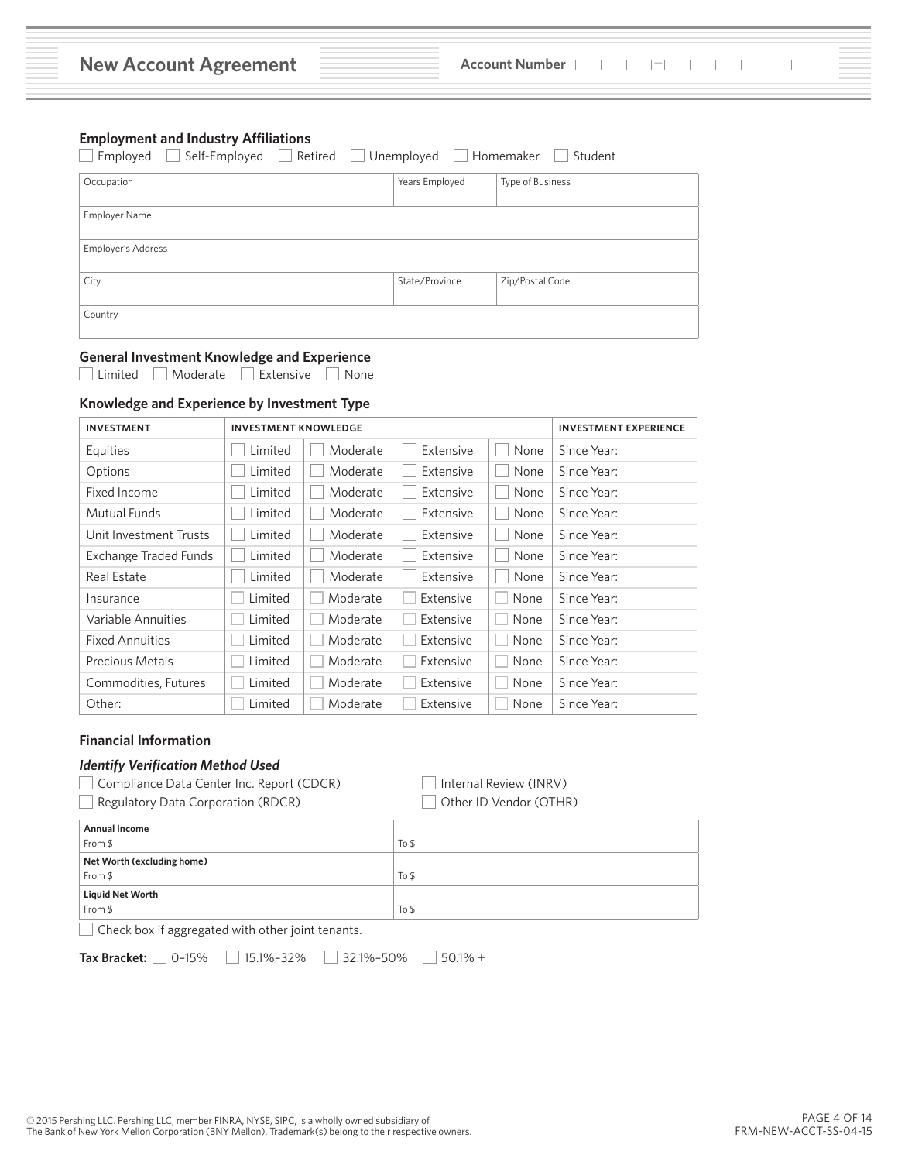| <b>New Account Agreement</b> |  | Account Number |  |  |
|------------------------------|--|----------------|--|--|
|------------------------------|--|----------------|--|--|

#### **Employment and Industry Affiliations**

| Self-Employed<br>Employed<br>Retired | Unemployed     | Student<br>Homemaker |
|--------------------------------------|----------------|----------------------|
| Occupation                           | Years Employed | Type of Business     |
| <b>Employer Name</b>                 |                |                      |
| Employer's Address                   |                |                      |
| City                                 | State/Province | Zip/Postal Code      |
| Country                              |                |                      |

# **General Investment Knowledge and Experience**

■ Limited ■ Moderate ■ Extensive ■ None

# **Knowledge and Experience by Investment Type**

| <b>INVESTMENT</b>      | <b>INVESTMENT KNOWLEDGE</b> |          | <b>INVESTMENT EXPERIENCE</b> |      |             |
|------------------------|-----------------------------|----------|------------------------------|------|-------------|
| Equities               | Limited                     | Moderate | Extensive                    | None | Since Year: |
| Options                | Limited                     | Moderate | Extensive                    | None | Since Year: |
| Fixed Income           | Limited                     | Moderate | Extensive                    | None | Since Year: |
| Mutual Funds           | Limited                     | Moderate | Extensive                    | None | Since Year: |
| Unit Investment Trusts | Limited                     | Moderate | Extensive                    | None | Since Year: |
| Exchange Traded Funds  | Limited                     | Moderate | Extensive                    | None | Since Year: |
| Real Estate            | Limited                     | Moderate | Extensive                    | None | Since Year: |
| Insurance              | Limited                     | Moderate | Extensive                    | None | Since Year: |
| Variable Annuities     | Limited                     | Moderate | Extensive                    | None | Since Year: |
| <b>Fixed Annuities</b> | Limited                     | Moderate | Extensive                    | None | Since Year: |
| Precious Metals        | Limited                     | Moderate | Extensive                    | None | Since Year: |
| Commodities, Futures   | Limited                     | Moderate | Extensive                    | None | Since Year: |
| Other:                 | Limited                     | Moderate | Extensive                    | None | Since Year: |

#### **Financial Information**

# *Identify Verification Method Used*

Compliance Data Center Inc. Report (CDCR)Internal Review (INRV)

**a** Regulatory Data Corporation (RDCR) **C** Other ID Vendor (OTHR)

| <b>Annual Income</b><br>From \$             | To \$ |  |  |
|---------------------------------------------|-------|--|--|
| Net Worth (excluding home)<br>From \$       | To \$ |  |  |
| <b>Liquid Net Worth</b><br>From \$<br>To \$ |       |  |  |
|                                             |       |  |  |

Check box if aggregated with other joint tenants.

**Tax Bracket:** 0–15% 15.1%–32% 32.1%–50% 50.1% +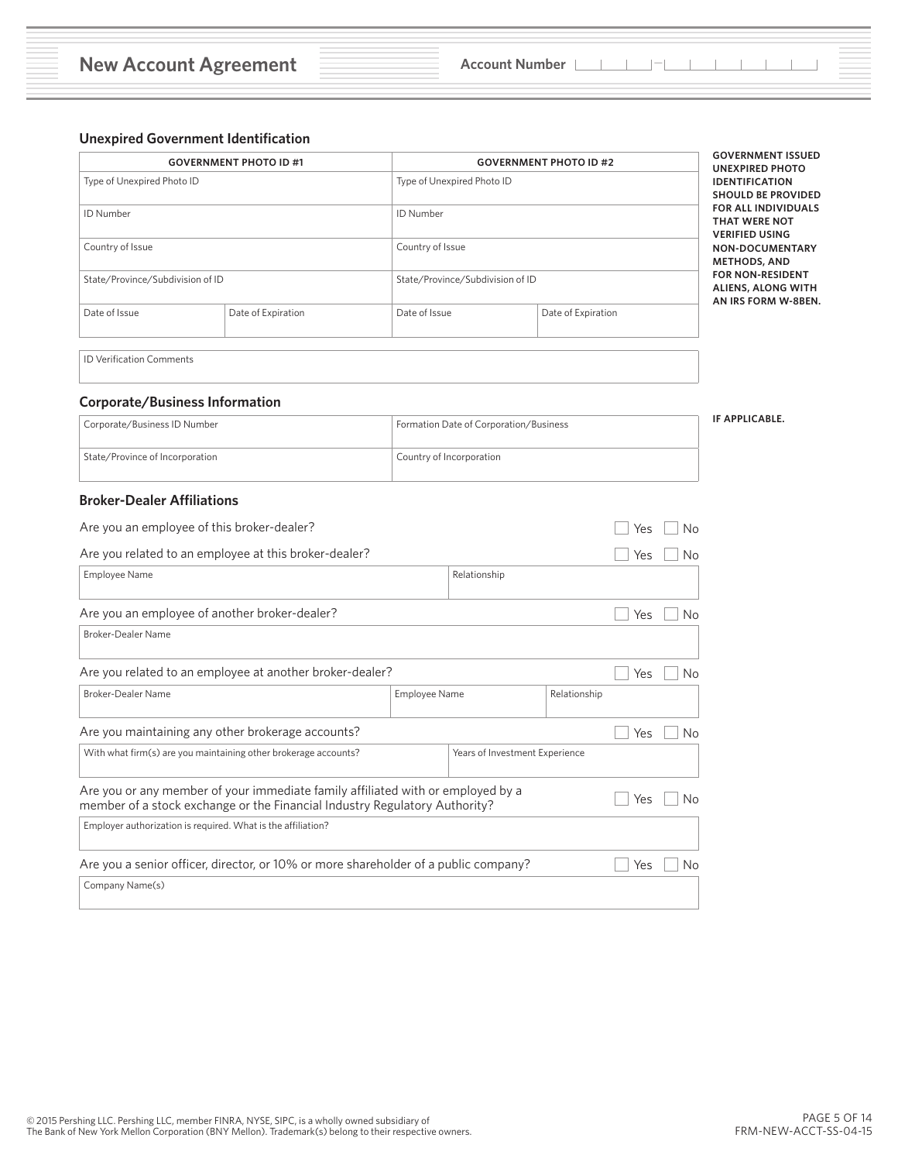# **Unexpired Government Identification**

|                                 | <b>GOVERNMENT PHOTO ID #1</b>    |                  | <b>GOVERNMENT PHOTO ID #2</b>    |                                                                              |
|---------------------------------|----------------------------------|------------------|----------------------------------|------------------------------------------------------------------------------|
| Type of Unexpired Photo ID      |                                  |                  | Type of Unexpired Photo ID       | <b>UNEXPIRED PHOTO</b><br><b>IDENTIFICATION</b><br><b>SHOULD BE PROVIDED</b> |
| ID Number                       |                                  | <b>ID Number</b> |                                  | <b>FOR ALL INDIVIDUALS</b><br><b>THAT WERE NOT</b><br><b>VERIFIED USING</b>  |
| Country of Issue                |                                  | Country of Issue |                                  | NON-DOCUMENTARY<br><b>METHODS, AND</b>                                       |
|                                 | State/Province/Subdivision of ID |                  | State/Province/Subdivision of ID | <b>FOR NON-RESIDENT</b><br><b>ALIENS, ALONG WITH</b><br>AN IRS FORM W-8BEN.  |
| Date of Issue                   | Date of Expiration               | Date of Issue    | Date of Expiration               |                                                                              |
| <b>ID Verification Comments</b> |                                  |                  |                                  |                                                                              |

# **Corporate/Business Information**

| Corporate/Business ID Number    | Formation Date of Corporation/Business | IF APPLICABLE. |
|---------------------------------|----------------------------------------|----------------|
| State/Province of Incorporation | <sup>1</sup> Country of Incorporation  |                |

# **Broker-Dealer Affiliations**

| Are you an employee of this broker-dealer?                                                                                                                    |                                      |     |    |     | <b>No</b> |
|---------------------------------------------------------------------------------------------------------------------------------------------------------------|--------------------------------------|-----|----|-----|-----------|
| Are you related to an employee at this broker-dealer?                                                                                                         |                                      |     |    |     | No        |
| Employee Name<br>Relationship                                                                                                                                 |                                      |     |    |     |           |
| Are you an employee of another broker-dealer?                                                                                                                 | Yes                                  | No  |    |     |           |
| Broker-Dealer Name                                                                                                                                            |                                      |     |    |     |           |
| Are you related to an employee at another broker-dealer?                                                                                                      |                                      |     |    | Yes | No        |
| Broker-Dealer Name                                                                                                                                            | <b>Employee Name</b><br>Relationship |     |    |     |           |
| Are you maintaining any other brokerage accounts?                                                                                                             | Yes                                  | No  |    |     |           |
| With what firm(s) are you maintaining other brokerage accounts?<br>Years of Investment Experience                                                             |                                      |     |    |     |           |
| Are you or any member of your immediate family affiliated with or employed by a<br>member of a stock exchange or the Financial Industry Regulatory Authority? | Yes                                  | No  |    |     |           |
| Employer authorization is required. What is the affiliation?                                                                                                  |                                      |     |    |     |           |
| Are you a senior officer, director, or 10% or more shareholder of a public company?                                                                           |                                      | Yes | No |     |           |
| Company Name(s)                                                                                                                                               |                                      |     |    |     |           |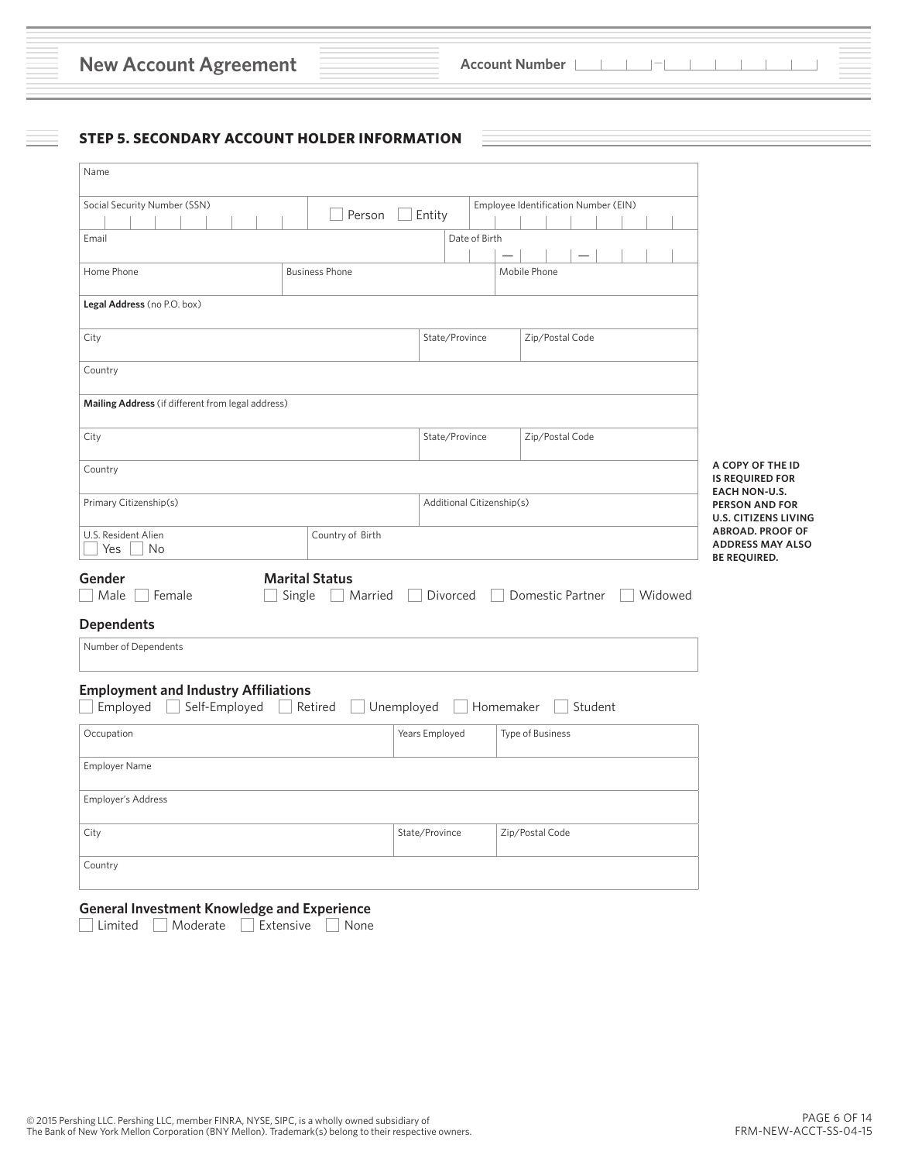| <b>New Account Agreement</b> |  |  |  |
|------------------------------|--|--|--|
|------------------------------|--|--|--|

# **STEP 5. SECONDARY ACCOUNT HOLDER INFORMATION**

| Name                                                                                                                   |                       |                           |                |  |                                                                           |         |  |  |                                                                              |
|------------------------------------------------------------------------------------------------------------------------|-----------------------|---------------------------|----------------|--|---------------------------------------------------------------------------|---------|--|--|------------------------------------------------------------------------------|
| Social Security Number (SSN)                                                                                           |                       |                           |                |  | Employee Identification Number (EIN)                                      |         |  |  |                                                                              |
|                                                                                                                        | Person                | Entity                    |                |  |                                                                           |         |  |  |                                                                              |
| Email                                                                                                                  |                       |                           | Date of Birth  |  |                                                                           |         |  |  |                                                                              |
|                                                                                                                        |                       |                           |                |  |                                                                           |         |  |  |                                                                              |
| Home Phone                                                                                                             | <b>Business Phone</b> |                           |                |  | Mobile Phone                                                              |         |  |  |                                                                              |
| Legal Address (no P.O. box)                                                                                            |                       |                           |                |  |                                                                           |         |  |  |                                                                              |
| City                                                                                                                   |                       |                           | State/Province |  | Zip/Postal Code                                                           |         |  |  |                                                                              |
| Country                                                                                                                |                       |                           |                |  |                                                                           |         |  |  |                                                                              |
| Mailing Address (if different from legal address)                                                                      |                       |                           |                |  |                                                                           |         |  |  |                                                                              |
| City                                                                                                                   |                       | State/Province            |                |  | Zip/Postal Code                                                           |         |  |  |                                                                              |
| Country                                                                                                                |                       |                           |                |  |                                                                           |         |  |  | A COPY OF THE ID<br><b>IS REQUIRED FOR</b>                                   |
| Primary Citizenship(s)                                                                                                 |                       | Additional Citizenship(s) |                |  |                                                                           |         |  |  | <b>EACH NON-U.S.</b><br><b>PERSON AND FOR</b><br><b>U.S. CITIZENS LIVING</b> |
| U.S. Resident Alien<br>Country of Birth<br>Yes<br>No                                                                   |                       |                           |                |  | <b>ABROAD. PROOF OF</b><br><b>ADDRESS MAY ALSO</b><br><b>BE REQUIRED.</b> |         |  |  |                                                                              |
| <b>Marital Status</b><br>Gender<br>Male<br>Female<br>Single<br>Married<br>  Divorced   Domestic Partner    <br>Widowed |                       |                           |                |  |                                                                           |         |  |  |                                                                              |
| <b>Dependents</b>                                                                                                      |                       |                           |                |  |                                                                           |         |  |  |                                                                              |
| Number of Dependents                                                                                                   |                       |                           |                |  |                                                                           |         |  |  |                                                                              |
| <b>Employment and Industry Affiliations</b><br>Employed<br>Self-Employed<br>$\Box$                                     | Unemployed<br>Retired |                           | Homemaker      |  |                                                                           | Student |  |  |                                                                              |
| Occupation                                                                                                             |                       | Years Employed            |                |  | Type of Business                                                          |         |  |  |                                                                              |
| Employer Name                                                                                                          |                       |                           |                |  |                                                                           |         |  |  |                                                                              |
| <b>Employer's Address</b>                                                                                              |                       |                           |                |  |                                                                           |         |  |  |                                                                              |
| City                                                                                                                   |                       | State/Province            |                |  | Zip/Postal Code                                                           |         |  |  |                                                                              |
| Country                                                                                                                |                       |                           |                |  |                                                                           |         |  |  |                                                                              |
|                                                                                                                        |                       |                           |                |  |                                                                           |         |  |  |                                                                              |

# **General Investment Knowledge and Experience**

■ Limited ■ Moderate ■ Extensive None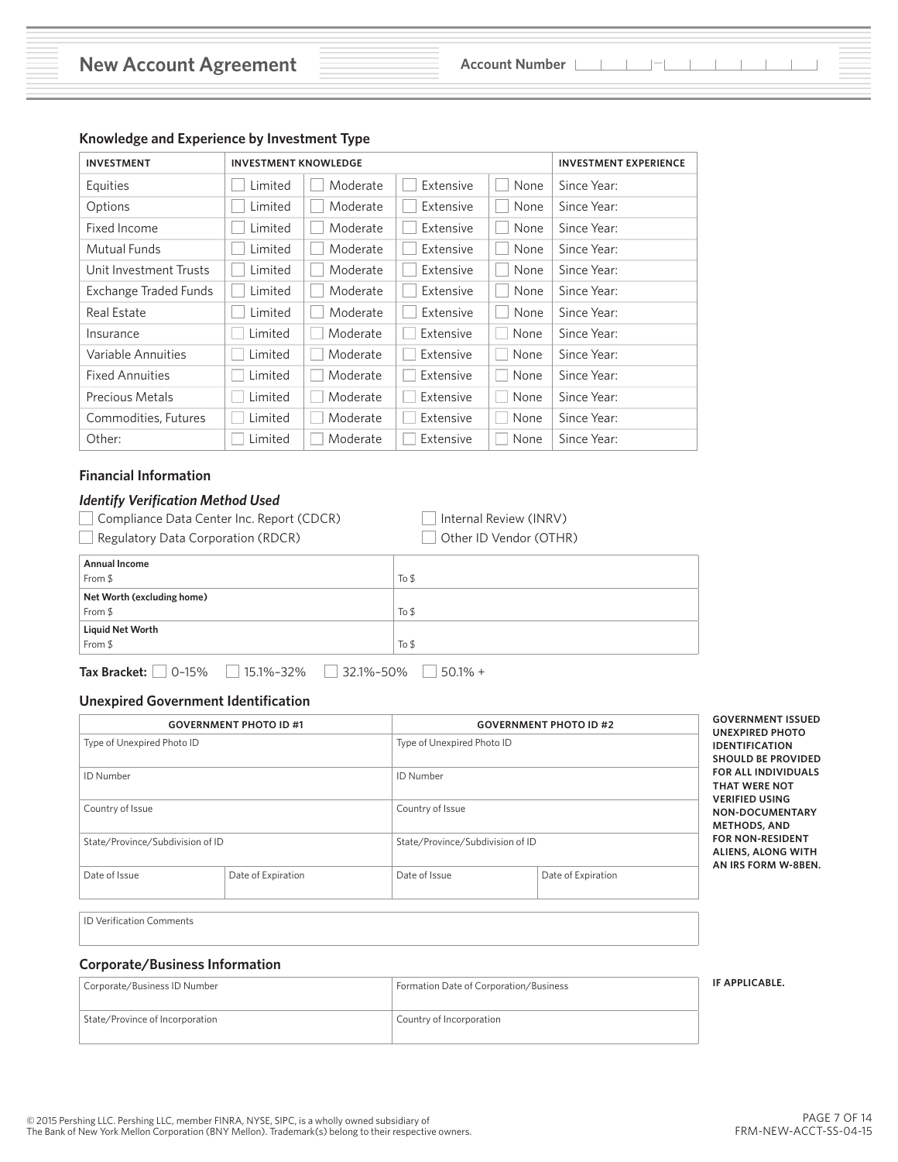| <b>INVESTMENT</b>      | <b>INVESTMENT KNOWLEDGE</b> |          | <b>INVESTMENT EXPERIENCE</b> |      |             |
|------------------------|-----------------------------|----------|------------------------------|------|-------------|
| Equities               | Limited                     | Moderate | Extensive                    | None | Since Year: |
| Options                | Limited                     | Moderate | Extensive                    | None | Since Year: |
| Fixed Income           | Limited                     | Moderate | Extensive                    | None | Since Year: |
| Mutual Funds           | Limited                     | Moderate | Extensive                    | None | Since Year: |
| Unit Investment Trusts | Limited                     | Moderate | Extensive                    | None | Since Year: |
| Exchange Traded Funds  | Limited                     | Moderate | Extensive                    | None | Since Year: |
| <b>Real Estate</b>     | Limited                     | Moderate | Extensive                    | None | Since Year: |
| Insurance              | Limited                     | Moderate | Extensive                    | None | Since Year: |
| Variable Annuities     | Limited                     | Moderate | Extensive                    | None | Since Year: |
| <b>Fixed Annuities</b> | Limited                     | Moderate | Extensive                    | None | Since Year: |
| Precious Metals        | Limited                     | Moderate | Extensive                    | None | Since Year: |
| Commodities, Futures   | Limited                     | Moderate | Extensive                    | None | Since Year: |
| Other:                 | Limited                     | Moderate | Extensive                    | None | Since Year: |

# **Knowledge and Experience by Investment Type**

# **Financial Information**

# *Identify Verification Method Used*

| Compliance Data Center Inc. Report (CDCR) |  |  |
|-------------------------------------------|--|--|
|-------------------------------------------|--|--|

**a D** Internal Review (INRV)

**1** Regulatory Data Corporation (RDCR) **Discript 20 Alter ID Vendor (OTHR)** 

| <b>Annual Income</b>       |        |
|----------------------------|--------|
| From \$                    | To $$$ |
| Net Worth (excluding home) |        |
| From \$                    | To $$$ |
| Liquid Net Worth           |        |
| From $$$                   | To \$  |
|                            |        |

**Tax Bracket:** 0–15% 15.1%–32% 32.1%–50% 50.1% +

#### **Unexpired Government Identification**

| <b>GOVERNMENT PHOTO ID #1</b>    |                    |                                  | <b>GOVERNMENT PHOTO ID #2</b> |                                                                              |
|----------------------------------|--------------------|----------------------------------|-------------------------------|------------------------------------------------------------------------------|
| Type of Unexpired Photo ID       |                    | Type of Unexpired Photo ID       |                               | <b>UNEXPIRED PHOTO</b><br><b>IDENTIFICATION</b><br><b>SHOULD BE PROVIDED</b> |
| <b>ID Number</b>                 |                    | ID Number                        |                               | <b>FOR ALL INDIVIDUALS</b><br><b>THAT WERE NOT</b><br><b>VERIFIED USING</b>  |
| Country of Issue                 |                    | Country of Issue                 |                               | NON-DOCUMENTARY<br><b>METHODS, AND</b>                                       |
| State/Province/Subdivision of ID |                    | State/Province/Subdivision of ID |                               | <b>FOR NON-RESIDENT</b><br><b>ALIENS, ALONG WITH</b><br>AN IRS FORM W-8BEN.  |
| Date of Issue                    | Date of Expiration | Date of Issue                    | Date of Expiration            |                                                                              |
|                                  |                    |                                  |                               |                                                                              |

ID Verification Comments

#### **Corporate/Business Information**

| Corporate/Business ID Number    | Formation Date of Corporation/Business | IF APPLICABLE. |
|---------------------------------|----------------------------------------|----------------|
| State/Province of Incorporation | Country of Incorporation               |                |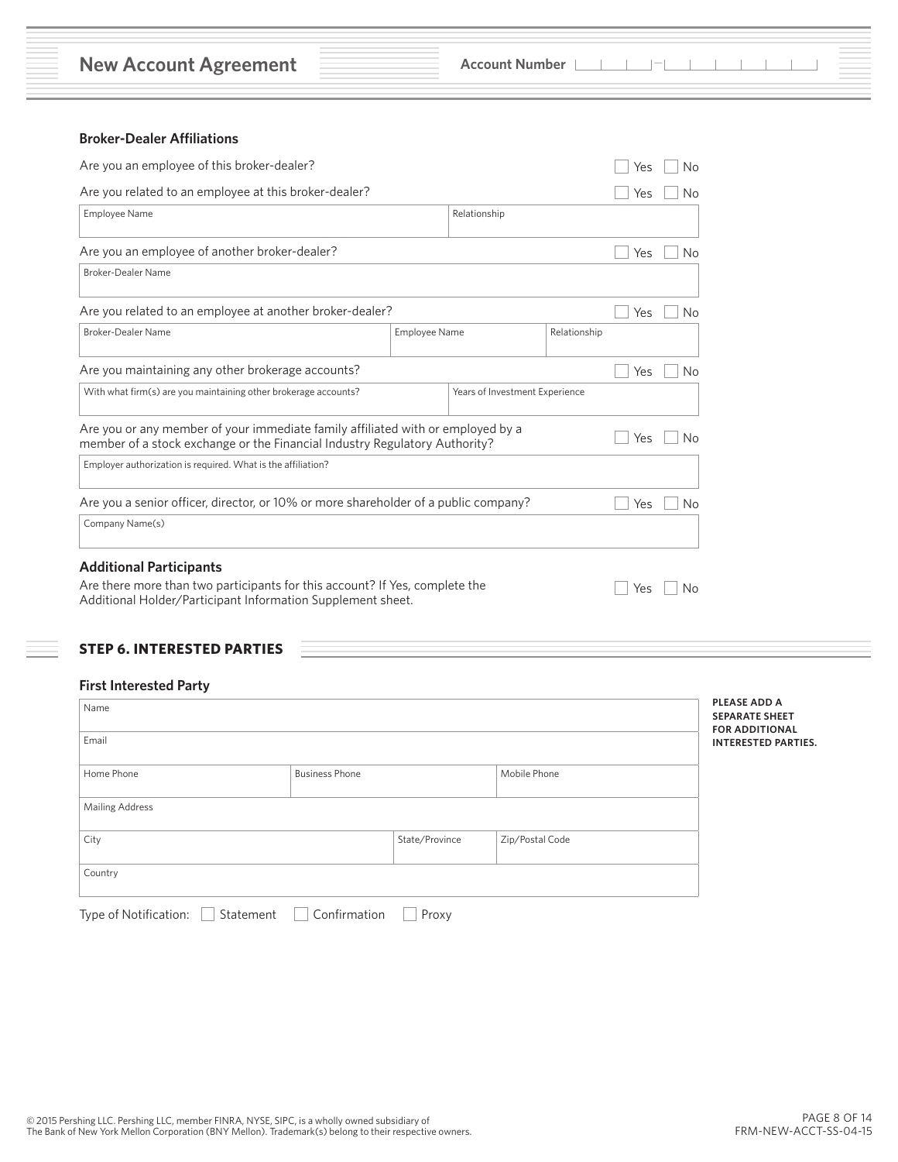**New Account Agreement Account Number Account Number**  $\blacksquare$ 

# **Broker-Dealer Affiliations**

| Are you an employee of this broker-dealer?                                                                                                                    |                               |     |    |     | No |
|---------------------------------------------------------------------------------------------------------------------------------------------------------------|-------------------------------|-----|----|-----|----|
| Are you related to an employee at this broker-dealer?                                                                                                         |                               |     |    |     | No |
| <b>Employee Name</b>                                                                                                                                          |                               |     |    |     |    |
| Are you an employee of another broker-dealer?                                                                                                                 | Yes                           | No  |    |     |    |
| Broker-Dealer Name                                                                                                                                            |                               |     |    |     |    |
| Are you related to an employee at another broker-dealer?                                                                                                      |                               |     |    | Yes | Νo |
| <b>Broker-Dealer Name</b>                                                                                                                                     | Employee Name<br>Relationship |     |    |     |    |
| Are you maintaining any other brokerage accounts?                                                                                                             |                               |     |    |     | No |
| With what firm(s) are you maintaining other brokerage accounts?<br>Years of Investment Experience                                                             |                               |     |    |     |    |
| Are you or any member of your immediate family affiliated with or employed by a<br>member of a stock exchange or the Financial Industry Regulatory Authority? |                               | Yes | No |     |    |
| Employer authorization is required. What is the affiliation?                                                                                                  |                               |     |    |     |    |
| Are you a senior officer, director, or 10% or more shareholder of a public company?                                                                           |                               |     |    |     | No |
| Company Name(s)                                                                                                                                               |                               |     |    |     |    |
| <b>Additional Participants</b>                                                                                                                                |                               |     |    |     |    |
| Are there more than two participants for this account? If Yes, complete the<br>Additional Holder/Participant Information Supplement sheet.                    |                               |     |    | Yes | Νo |

# **STEP 6. INTERESTED PARTIES**

# **First Interested Party**

| Name                                |                |                 | <b>PLEASE</b><br><b>SEPARAT</b>  |
|-------------------------------------|----------------|-----------------|----------------------------------|
| Email                               |                |                 | <b>FOR ADD</b><br><b>INTERES</b> |
| Home Phone<br><b>Business Phone</b> |                | Mobile Phone    |                                  |
| <b>Mailing Address</b>              |                |                 |                                  |
| City                                | State/Province | Zip/Postal Code |                                  |
| Country                             |                |                 |                                  |

**PLEASE ADD A SEPARATE SHEET FOR AL ITED PARTIES.**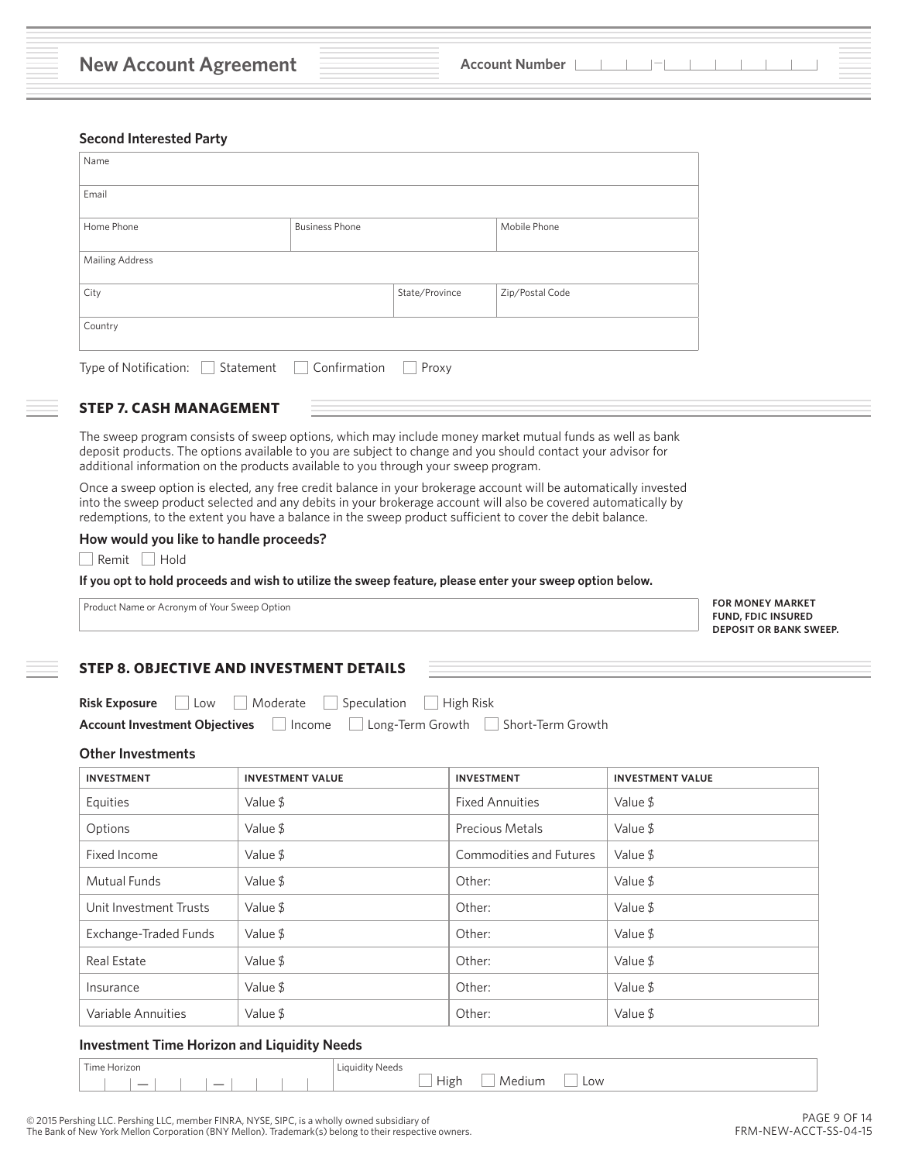#### **Second Interested Party**

| Name                               |                       |                |                 |
|------------------------------------|-----------------------|----------------|-----------------|
| Email                              |                       |                |                 |
| Home Phone                         | <b>Business Phone</b> |                | Mobile Phone    |
| <b>Mailing Address</b>             |                       |                |                 |
| City                               |                       | State/Province | Zip/Postal Code |
| Country                            |                       |                |                 |
| Type of Notification:<br>Statement | Confirmation          | Proxy          |                 |

#### **STEP 7. CASH MANAGEMENT**

The sweep program consists of sweep options, which may include money market mutual funds as well as bank deposit products. The options available to you are subject to change and you should contact your advisor for additional information on the products available to you through your sweep program.

Once a sweep option is elected, any free credit balance in your brokerage account will be automatically invested into the sweep product selected and any debits in your brokerage account will also be covered automatically by redemptions, to the extent you have a balance in the sweep product sufficient to cover the debit balance.

#### **How would you like to handle proceeds?**

Remit Hold

**If you opt to hold proceeds and wish to utilize the sweep feature, please enter your sweep option below.**

Product Name or Acronym of Your Sweep Option

**FOR MONEY MARKET FUND, FDIC INSURED DEPOSIT OR BANK SWEEP.**

#### **STEP 8. OBJECTIVE AND INVESTMENT DETAILS**

|  | <b>Risk Exposure</b> Low Moderate Speculation High Risk |  |
|--|---------------------------------------------------------|--|
|  |                                                         |  |

| <b>Account Investment Objectives</b> | Income | Long-Term Growth |  | Short-Term Growth |  |
|--------------------------------------|--------|------------------|--|-------------------|--|
|--------------------------------------|--------|------------------|--|-------------------|--|

#### **Other Investments**

| <b>INVESTMENT</b>      | <b>INVESTMENT VALUE</b> | <b>INVESTMENT</b>       | <b>INVESTMENT VALUE</b> |
|------------------------|-------------------------|-------------------------|-------------------------|
| Equities               | Value \$                | <b>Fixed Annuities</b>  | Value \$                |
| Options                | Value \$                | <b>Precious Metals</b>  | Value \$                |
| Fixed Income           | Value \$                | Commodities and Futures | Value \$                |
| Mutual Funds           | Value \$                | Other:                  | Value \$                |
| Unit Investment Trusts | Value \$                | Other:                  | Value \$                |
| Exchange-Traded Funds  | Value \$                | Other:                  | Value \$                |
| <b>Real Estate</b>     | Value \$                | Other:                  | Value \$                |
| Insurance              | Value \$                | Other:                  | Value \$                |
| Variable Annuities     | Value \$                | Other:                  | Value \$                |

#### **Investment Time Horizon and Liquidity Needs**

Time Horizon **Liquidity Needs** 

— —High Medium Low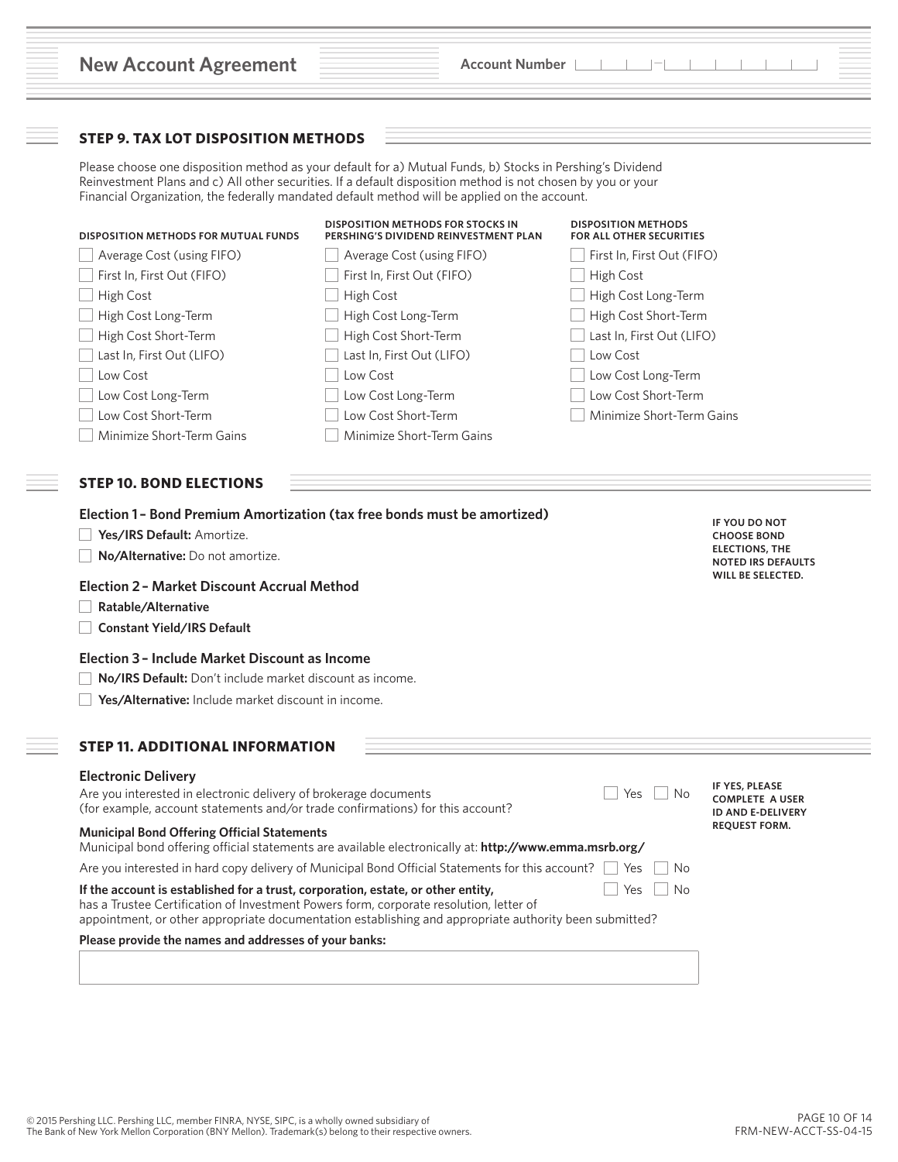|                                                                                                                                                                                                                                     | <b>Account Number</b>                                                                                                                                                                                                                                                                                                       |                                                        |                                                                         |
|-------------------------------------------------------------------------------------------------------------------------------------------------------------------------------------------------------------------------------------|-----------------------------------------------------------------------------------------------------------------------------------------------------------------------------------------------------------------------------------------------------------------------------------------------------------------------------|--------------------------------------------------------|-------------------------------------------------------------------------|
| <b>STEP 9. TAX LOT DISPOSITION METHODS</b>                                                                                                                                                                                          |                                                                                                                                                                                                                                                                                                                             |                                                        |                                                                         |
|                                                                                                                                                                                                                                     | Please choose one disposition method as your default for a) Mutual Funds, b) Stocks in Pershing's Dividend<br>Reinvestment Plans and c) All other securities. If a default disposition method is not chosen by you or your<br>Financial Organization, the federally mandated default method will be applied on the account. |                                                        |                                                                         |
| DISPOSITION METHODS FOR MUTUAL FUNDS                                                                                                                                                                                                | <b>DISPOSITION METHODS FOR STOCKS IN</b><br>PERSHING'S DIVIDEND REINVESTMENT PLAN                                                                                                                                                                                                                                           | <b>DISPOSITION METHODS</b><br>FOR ALL OTHER SECURITIES |                                                                         |
| Average Cost (using FIFO)                                                                                                                                                                                                           | Average Cost (using FIFO)                                                                                                                                                                                                                                                                                                   | First In, First Out (FIFO)                             |                                                                         |
| First In, First Out (FIFO)                                                                                                                                                                                                          | First In, First Out (FIFO)                                                                                                                                                                                                                                                                                                  | High Cost                                              |                                                                         |
| High Cost                                                                                                                                                                                                                           | High Cost                                                                                                                                                                                                                                                                                                                   | High Cost Long-Term                                    |                                                                         |
| High Cost Long-Term                                                                                                                                                                                                                 | High Cost Long-Term                                                                                                                                                                                                                                                                                                         | High Cost Short-Term                                   |                                                                         |
| High Cost Short-Term                                                                                                                                                                                                                | High Cost Short-Term                                                                                                                                                                                                                                                                                                        | Last In, First Out (LIFO)                              |                                                                         |
| Last In, First Out (LIFO)                                                                                                                                                                                                           | Last In, First Out (LIFO)                                                                                                                                                                                                                                                                                                   | Low Cost                                               |                                                                         |
| Low Cost                                                                                                                                                                                                                            | Low Cost                                                                                                                                                                                                                                                                                                                    | Low Cost Long-Term                                     |                                                                         |
| Low Cost Long-Term                                                                                                                                                                                                                  | Low Cost Long-Term                                                                                                                                                                                                                                                                                                          | Low Cost Short-Term                                    |                                                                         |
| Low Cost Short-Term                                                                                                                                                                                                                 | Low Cost Short-Term                                                                                                                                                                                                                                                                                                         | Minimize Short-Term Gains                              |                                                                         |
| Minimize Short-Term Gains                                                                                                                                                                                                           | Minimize Short-Term Gains                                                                                                                                                                                                                                                                                                   |                                                        |                                                                         |
| <b>STEP 10. BOND ELECTIONS</b><br>Yes/IRS Default: Amortize.                                                                                                                                                                        | Election 1 - Bond Premium Amortization (tax free bonds must be amortized)                                                                                                                                                                                                                                                   |                                                        | IF YOU DO NOT<br><b>CHOOSE BOND</b>                                     |
| No/Alternative: Do not amortize.                                                                                                                                                                                                    |                                                                                                                                                                                                                                                                                                                             |                                                        | <b>ELECTIONS, THE</b><br><b>NOTED IRS DEFAULTS</b><br>WILL BE SELECTED. |
| <b>Election 2 - Market Discount Accrual Method</b>                                                                                                                                                                                  |                                                                                                                                                                                                                                                                                                                             |                                                        |                                                                         |
| Ratable/Alternative<br><b>Constant Yield/IRS Default</b>                                                                                                                                                                            |                                                                                                                                                                                                                                                                                                                             |                                                        |                                                                         |
| Election 3 - Include Market Discount as Income                                                                                                                                                                                      |                                                                                                                                                                                                                                                                                                                             |                                                        |                                                                         |
| No/IRS Default: Don't include market discount as income.                                                                                                                                                                            |                                                                                                                                                                                                                                                                                                                             |                                                        |                                                                         |
| Yes/Alternative: Include market discount in income.                                                                                                                                                                                 |                                                                                                                                                                                                                                                                                                                             |                                                        |                                                                         |
|                                                                                                                                                                                                                                     |                                                                                                                                                                                                                                                                                                                             |                                                        |                                                                         |
| Are you interested in electronic delivery of brokerage documents<br>(for example, account statements and/or trade confirmations) for this account?                                                                                  |                                                                                                                                                                                                                                                                                                                             | Yes<br>No                                              | IF YES, PLEASE<br><b>COMPLETE A USER</b><br><b>ID AND E-DELIVERY</b>    |
| <b>STEP 11. ADDITIONAL INFORMATION</b><br><b>Electronic Delivery</b><br><b>Municipal Bond Offering Official Statements</b>                                                                                                          | Municipal bond offering official statements are available electronically at: http://www.emma.msrb.org/                                                                                                                                                                                                                      |                                                        | <b>REQUEST FORM.</b>                                                    |
|                                                                                                                                                                                                                                     | Are you interested in hard copy delivery of Municipal Bond Official Statements for this account?                                                                                                                                                                                                                            | Yes<br>No                                              |                                                                         |
| If the account is established for a trust, corporation, estate, or other entity,<br>has a Trustee Certification of Investment Powers form, corporate resolution, letter of<br>Please provide the names and addresses of your banks: | appointment, or other appropriate documentation establishing and appropriate authority been submitted?                                                                                                                                                                                                                      | <b>No</b><br>Yes                                       |                                                                         |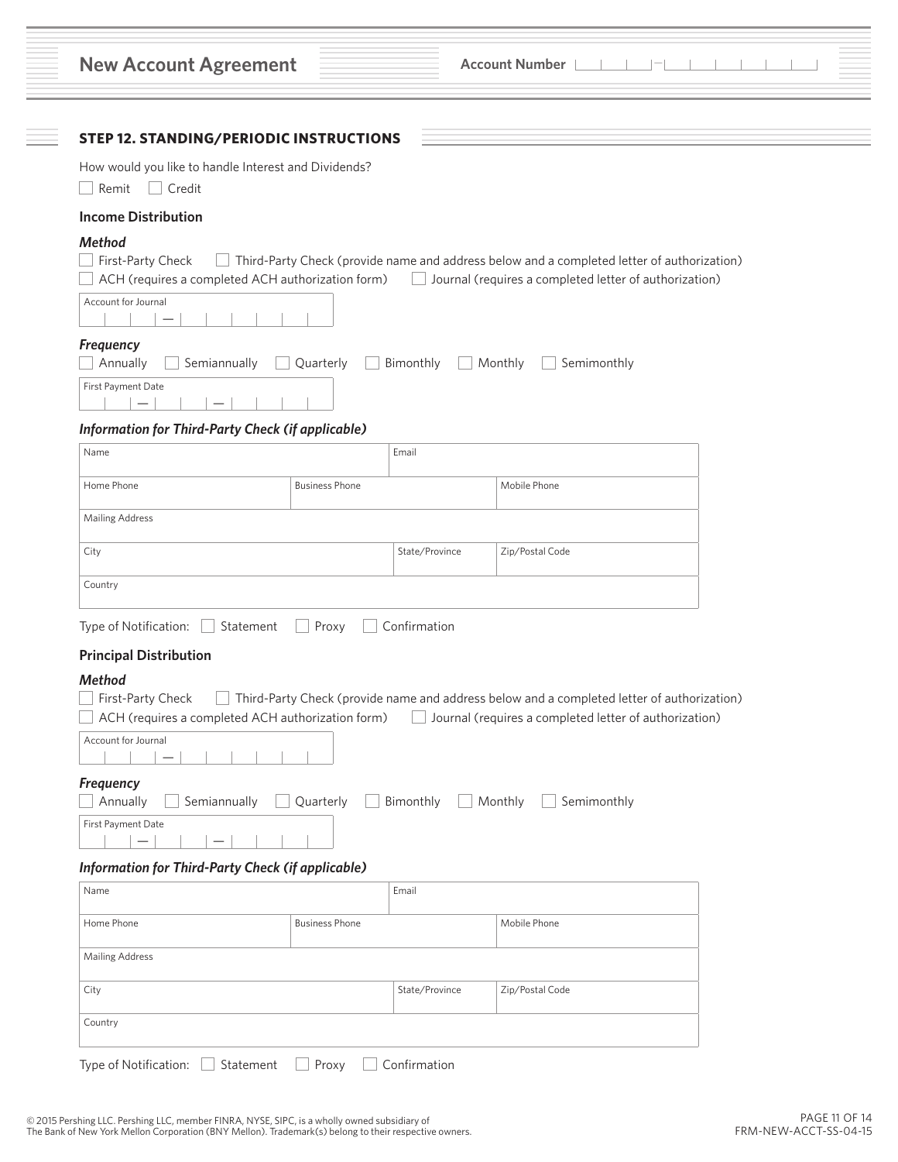| <b>New Account Agreement</b>                                             |                       |                | <b>Account Number</b>                                                                                                                                |  |
|--------------------------------------------------------------------------|-----------------------|----------------|------------------------------------------------------------------------------------------------------------------------------------------------------|--|
| <b>STEP 12. STANDING/PERIODIC INSTRUCTIONS</b>                           |                       |                |                                                                                                                                                      |  |
| How would you like to handle Interest and Dividends?<br>Remit   Credit   |                       |                |                                                                                                                                                      |  |
| <b>Income Distribution</b>                                               |                       |                |                                                                                                                                                      |  |
| <b>Method</b>                                                            |                       |                |                                                                                                                                                      |  |
| First-Party Check<br>ACH (requires a completed ACH authorization form)   |                       |                | Third-Party Check (provide name and address below and a completed letter of authorization)<br>Journal (requires a completed letter of authorization) |  |
| Account for Journal                                                      |                       |                |                                                                                                                                                      |  |
| Frequency<br>Annually<br>Semiannually                                    | Quarterly             | Bimonthly      | Semimonthly<br>$\Box$ Monthly<br>$\mathbf{I}$                                                                                                        |  |
| First Payment Date                                                       |                       |                |                                                                                                                                                      |  |
| <b>Information for Third-Party Check (if applicable)</b>                 |                       |                |                                                                                                                                                      |  |
| Name                                                                     |                       | Email          |                                                                                                                                                      |  |
| Home Phone                                                               | <b>Business Phone</b> |                | Mobile Phone                                                                                                                                         |  |
| Mailing Address                                                          |                       |                |                                                                                                                                                      |  |
| City                                                                     |                       | State/Province | Zip/Postal Code                                                                                                                                      |  |
| Country                                                                  |                       |                |                                                                                                                                                      |  |
| Type of Notification:                                                    | Proxy<br>Statement    | Confirmation   |                                                                                                                                                      |  |
| <b>Principal Distribution</b>                                            |                       |                |                                                                                                                                                      |  |
| Method                                                                   |                       |                |                                                                                                                                                      |  |
| First-Party Check                                                        |                       |                | Third-Party Check (provide name and address below and a completed letter of authorization)                                                           |  |
| ACH (requires a completed ACH authorization form)<br>Account for Journal |                       |                | Journal (requires a completed letter of authorization)                                                                                               |  |
|                                                                          |                       |                |                                                                                                                                                      |  |
| <b>Frequency</b>                                                         |                       |                |                                                                                                                                                      |  |
| Annually<br>Semiannually<br>First Payment Date                           | Quarterly             | Bimonthly      | Monthly<br>Semimonthly                                                                                                                               |  |
| $\qquad \qquad -$                                                        |                       |                |                                                                                                                                                      |  |
| <b>Information for Third-Party Check (if applicable)</b><br>Name         |                       | Email          |                                                                                                                                                      |  |
|                                                                          |                       |                |                                                                                                                                                      |  |
| Home Phone                                                               | <b>Business Phone</b> |                | Mobile Phone                                                                                                                                         |  |
| <b>Mailing Address</b>                                                   |                       |                |                                                                                                                                                      |  |
| City                                                                     |                       | State/Province | Zip/Postal Code                                                                                                                                      |  |
|                                                                          |                       |                |                                                                                                                                                      |  |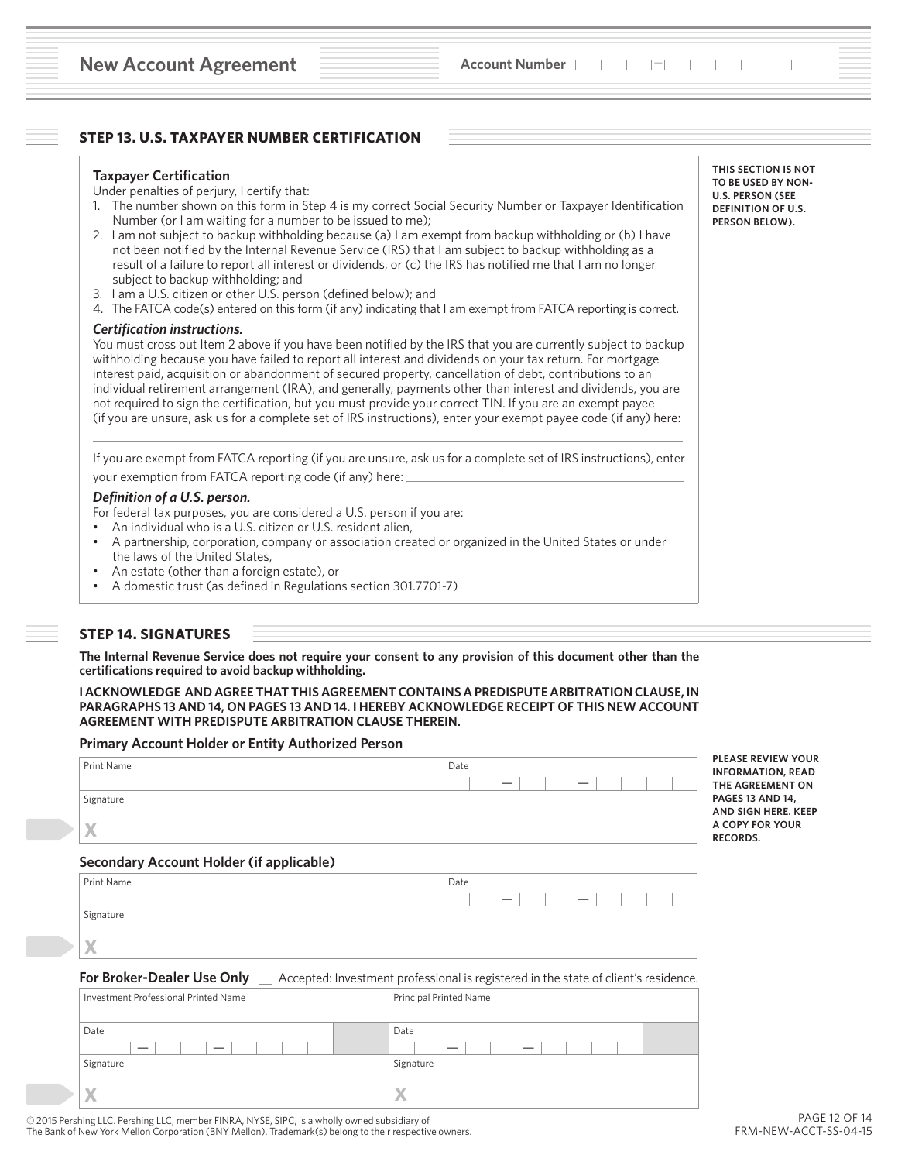# **STEP 13. U.S. TAXPAYER NUMBER CERTIFICATION**

#### **Taxpayer Certification**

Under penalties of perjury, I certify that:

- 1. The number shown on this form in Step 4 is my correct Social Security Number or Taxpayer Identification Number (or I am waiting for a number to be issued to me);
- 2. I am not subject to backup withholding because (a) I am exempt from backup withholding or (b) I have not been notified by the Internal Revenue Service (IRS) that I am subject to backup withholding as a result of a failure to report all interest or dividends, or (c) the IRS has notified me that I am no longer subject to backup withholding; and
- 3. I am a U.S. citizen or other U.S. person (defined below); and
- 4. The FATCA code(s) entered on this form (if any) indicating that I am exempt from FATCA reporting is correct.

#### *Certification instructions.*

You must cross out Item 2 above if you have been notified by the IRS that you are currently subject to backup withholding because you have failed to report all interest and dividends on your tax return. For mortgage interest paid, acquisition or abandonment of secured property, cancellation of debt, contributions to an individual retirement arrangement (IRA), and generally, payments other than interest and dividends, you are not required to sign the certification, but you must provide your correct TIN. If you are an exempt payee (if you are unsure, ask us for a complete set of IRS instructions), enter your exempt payee code (if any) here:

If you are exempt from FATCA reporting (if you are unsure, ask us for a complete set of IRS instructions), enter your exemption from FATCA reporting code (if any) here:

#### *Definition of a U.S. person.*

For federal tax purposes, you are considered a U.S. person if you are:

- An individual who is a U.S. citizen or U.S. resident alien,
- A partnership, corporation, company or association created or organized in the United States or under the laws of the United States,
- An estate (other than a foreign estate), or
- A domestic trust (as defined in Regulations section 301.7701-7)

# **STEP 14. SIGNATURES**

**The Internal Revenue Service does not require your consent to any provision of this document other than the certifications required to avoid backup withholding.**

**I ACKNOWLEDGE AND AGREE THAT THIS AGREEMENT CONTAINS A PREDISPUTE ARBITRATION CLAUSE, IN PARAGRAPHS 13 AND 14, ON PAGES 13 AND 14. I HEREBY ACKNOWLEDGE RECEIPT OF THIS NEW ACCOUNT AGREEMENT WITH PREDISPUTE ARBITRATION CLAUSE THEREIN.**

#### **Primary Account Holder or Entity Authorized Person**

| Print Name<br>Signature<br>X<br>Secondary Account Holder (if applicable) | Date<br>$\equiv$<br>_    | <b>PLEASE REVIEW YOUR</b><br><b>INFORMATION, READ</b><br>THE AGREEMENT ON<br><b>PAGES 13 AND 14,</b><br>AND SIGN HERE, KEEP<br>A COPY FOR YOUR<br><b>RECORDS.</b> |
|--------------------------------------------------------------------------|--------------------------|-------------------------------------------------------------------------------------------------------------------------------------------------------------------|
| Print Name                                                               | Date                     |                                                                                                                                                                   |
| Signature                                                                | $\overline{\phantom{m}}$ |                                                                                                                                                                   |

**REEMENT ON 3 AND 14. AN HERE. KEEP** 

# **X**

**For Broker-Dealer Use Only**  $\Box$  Accepted: Investment professional is registered in the state of client's residence.

| Investment Professional Printed Name | Principal Printed Name |
|--------------------------------------|------------------------|
| Date                                 | Date                   |
| _                                    |                        |
| Signature                            | Signature              |
|                                      |                        |

**THIS SECTION IS NOT TO BE USED BY NON-U.S. PERSON (SEE DEFINITION OF U.S. PERSON BELOW).**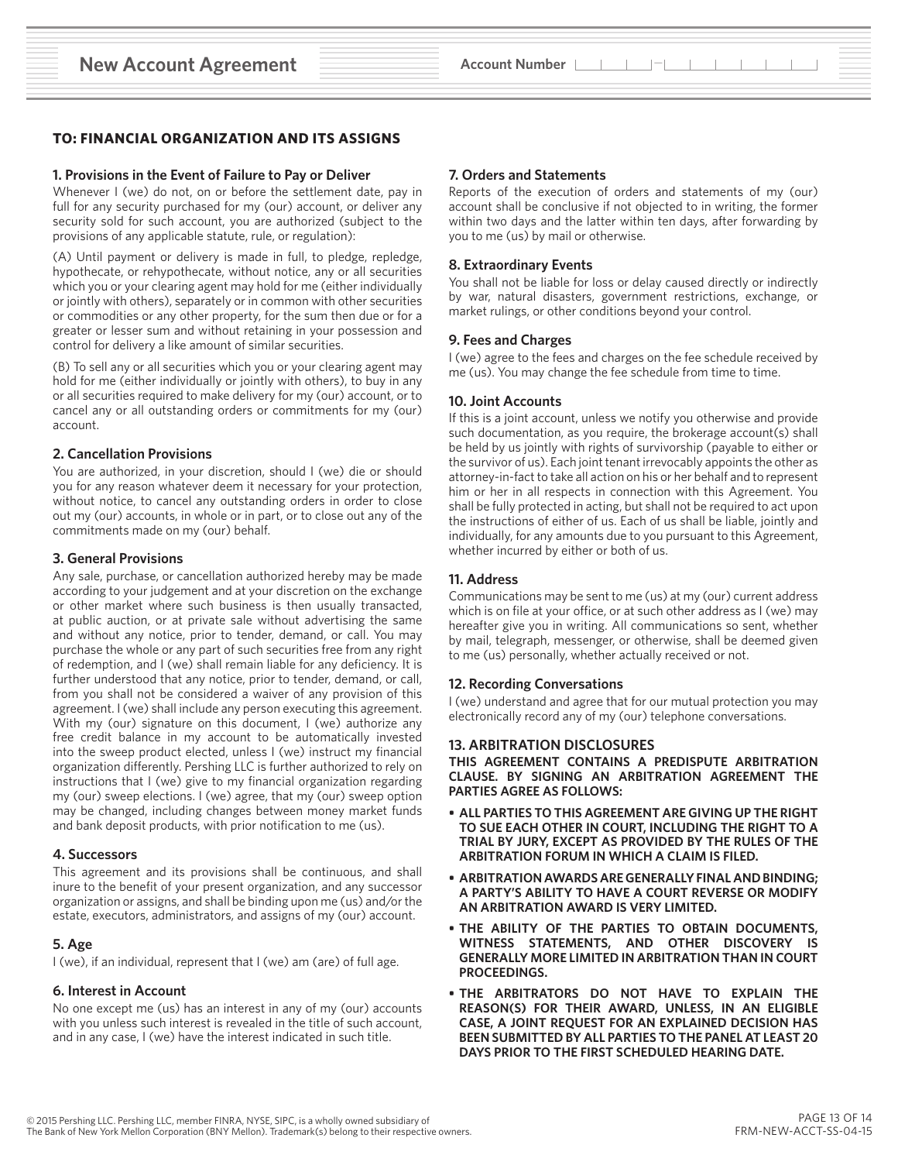# **TO: FINANCIAL ORGANIZATION AND ITS ASSIGNS**

#### **1. Provisions in the Event of Failure to Pay or Deliver**

Whenever I (we) do not, on or before the settlement date, pay in full for any security purchased for my (our) account, or deliver any security sold for such account, you are authorized (subject to the provisions of any applicable statute, rule, or regulation):

(A) Until payment or delivery is made in full, to pledge, repledge, hypothecate, or rehypothecate, without notice, any or all securities which you or your clearing agent may hold for me (either individually or jointly with others), separately or in common with other securities or commodities or any other property, for the sum then due or for a greater or lesser sum and without retaining in your possession and control for delivery a like amount of similar securities.

(B) To sell any or all securities which you or your clearing agent may hold for me (either individually or jointly with others), to buy in any or all securities required to make delivery for my (our) account, or to cancel any or all outstanding orders or commitments for my (our) account.

#### **2. Cancellation Provisions**

You are authorized, in your discretion, should I (we) die or should you for any reason whatever deem it necessary for your protection, without notice, to cancel any outstanding orders in order to close out my (our) accounts, in whole or in part, or to close out any of the commitments made on my (our) behalf.

#### **3. General Provisions**

Any sale, purchase, or cancellation authorized hereby may be made according to your judgement and at your discretion on the exchange or other market where such business is then usually transacted, at public auction, or at private sale without advertising the same and without any notice, prior to tender, demand, or call. You may purchase the whole or any part of such securities free from any right of redemption, and I (we) shall remain liable for any deficiency. It is further understood that any notice, prior to tender, demand, or call, from you shall not be considered a waiver of any provision of this agreement. I (we) shall include any person executing this agreement. With my (our) signature on this document, I (we) authorize any free credit balance in my account to be automatically invested into the sweep product elected, unless I (we) instruct my financial organization differently. Pershing LLC is further authorized to rely on instructions that I (we) give to my financial organization regarding my (our) sweep elections. I (we) agree, that my (our) sweep option may be changed, including changes between money market funds and bank deposit products, with prior notification to me (us).

#### **4. Successors**

This agreement and its provisions shall be continuous, and shall inure to the benefit of your present organization, and any successor organization or assigns, and shall be binding upon me (us) and/or the estate, executors, administrators, and assigns of my (our) account.

# **5. Age**

I (we), if an individual, represent that I (we) am (are) of full age.

#### **6. Interest in Account**

No one except me (us) has an interest in any of my (our) accounts with you unless such interest is revealed in the title of such account, and in any case, I (we) have the interest indicated in such title.

#### **7. Orders and Statements**

Reports of the execution of orders and statements of my (our) account shall be conclusive if not objected to in writing, the former within two days and the latter within ten days, after forwarding by you to me (us) by mail or otherwise.

#### **8. Extraordinary Events**

You shall not be liable for loss or delay caused directly or indirectly by war, natural disasters, government restrictions, exchange, or market rulings, or other conditions beyond your control.

#### **9. Fees and Charges**

I (we) agree to the fees and charges on the fee schedule received by me (us). You may change the fee schedule from time to time.

#### **10. Joint Accounts**

If this is a joint account, unless we notify you otherwise and provide such documentation, as you require, the brokerage account(s) shall be held by us jointly with rights of survivorship (payable to either or the survivor of us). Each joint tenant irrevocably appoints the other as attorney-in-fact to take all action on his or her behalf and to represent him or her in all respects in connection with this Agreement. You shall be fully protected in acting, but shall not be required to act upon the instructions of either of us. Each of us shall be liable, jointly and individually, for any amounts due to you pursuant to this Agreement, whether incurred by either or both of us.

#### **11. Address**

Communications may be sent to me (us) at my (our) current address which is on file at your office, or at such other address as I (we) may hereafter give you in writing. All communications so sent, whether by mail, telegraph, messenger, or otherwise, shall be deemed given to me (us) personally, whether actually received or not.

#### **12. Recording Conversations**

I (we) understand and agree that for our mutual protection you may electronically record any of my (our) telephone conversations.

#### **13. ARBITRATION DISCLOSURES**

**THIS AGREEMENT CONTAINS A PREDISPUTE ARBITRATION CLAUSE. BY SIGNING AN ARBITRATION AGREEMENT THE PARTIES AGREE AS FOLLOWS:**

- **• ALL PARTIES TO THIS AGREEMENT ARE GIVING UP THE RIGHT TO SUE EACH OTHER IN COURT, INCLUDING THE RIGHT TO A TRIAL BY JURY, EXCEPT AS PROVIDED BY THE RULES OF THE ARBITRATION FORUM IN WHICH A CLAIM IS FILED.**
- **• ARBITRATION AWARDS ARE GENERALLY FINAL AND BINDING; A PARTY'S ABILITY TO HAVE A COURT REVERSE OR MODIFY AN ARBITRATION AWARD IS VERY LIMITED.**
- **• THE ABILITY OF THE PARTIES TO OBTAIN DOCUMENTS, WITNESS STATEMENTS, AND OTHER DISCOVERY IS GENERALLY MORE LIMITED IN ARBITRATION THAN IN COURT PROCEEDINGS.**
- **• THE ARBITRATORS DO NOT HAVE TO EXPLAIN THE REASON(S) FOR THEIR AWARD, UNLESS, IN AN ELIGIBLE CASE, A JOINT REQUEST FOR AN EXPLAINED DECISION HAS BEEN SUBMITTED BY ALL PARTIES TO THE PANEL AT LEAST 20 DAYS PRIOR TO THE FIRST SCHEDULED HEARING DATE.**